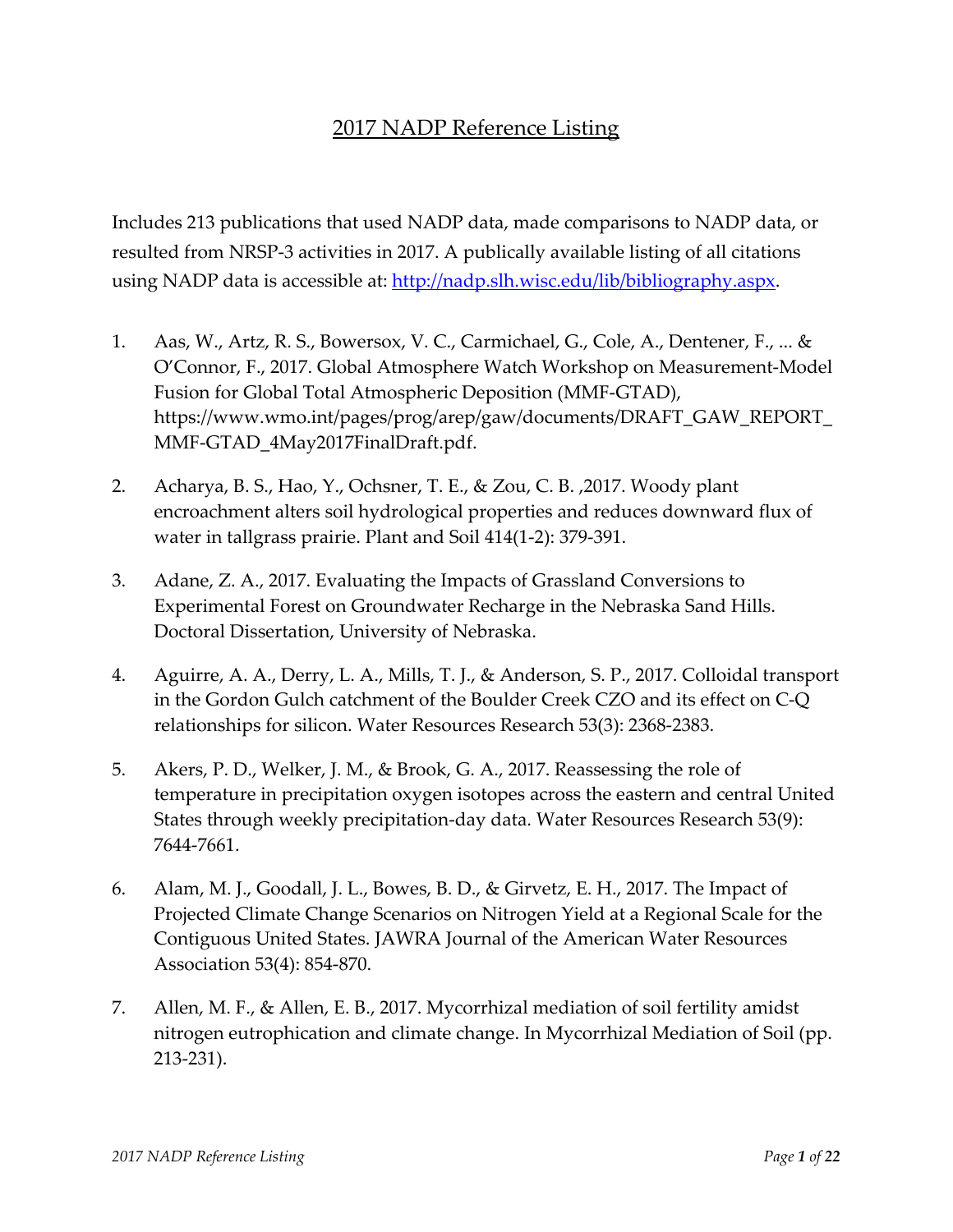## 2017 NADP Reference Listing

Includes 213 publications that used NADP data, made comparisons to NADP data, or resulted from NRSP‐3 activities in 2017. A publically available listing of all citations using NADP data is accessible at: [http://nadp.slh.wisc.edu/lib/bibliography.aspx.](http://nadp.slh.wisc.edu/lib/bibliography.aspx)

- 1. Aas, W., Artz, R. S., Bowersox, V. C., Carmichael, G., Cole, A., Dentener, F., ... & O'Connor, F., 2017. Global Atmosphere Watch Workshop on Measurement‐Model Fusion for Global Total Atmospheric Deposition (MMF‐GTAD), https://www.wmo.int/pages/prog/arep/gaw/documents/DRAFT\_GAW\_REPORT\_ MMF‐GTAD\_4May2017FinalDraft.pdf.
- 2. Acharya, B. S., Hao, Y., Ochsner, T. E., & Zou, C. B. ,2017. Woody plant encroachment alters soil hydrological properties and reduces downward flux of water in tallgrass prairie. Plant and Soil 414(1‐2): 379‐391.
- 3. Adane, Z. A., 2017. Evaluating the Impacts of Grassland Conversions to Experimental Forest on Groundwater Recharge in the Nebraska Sand Hills. Doctoral Dissertation, University of Nebraska.
- 4. Aguirre, A. A., Derry, L. A., Mills, T. J., & Anderson, S. P., 2017. Colloidal transport in the Gordon Gulch catchment of the Boulder Creek CZO and its effect on C‐Q relationships for silicon. Water Resources Research 53(3): 2368‐2383.
- 5. Akers, P. D., Welker, J. M., & Brook, G. A., 2017. Reassessing the role of temperature in precipitation oxygen isotopes across the eastern and central United States through weekly precipitation‐day data. Water Resources Research 53(9): 7644‐7661.
- 6. Alam, M. J., Goodall, J. L., Bowes, B. D., & Girvetz, E. H., 2017. The Impact of Projected Climate Change Scenarios on Nitrogen Yield at a Regional Scale for the Contiguous United States. JAWRA Journal of the American Water Resources Association 53(4): 854‐870.
- 7. Allen, M. F., & Allen, E. B., 2017. Mycorrhizal mediation of soil fertility amidst nitrogen eutrophication and climate change. In Mycorrhizal Mediation of Soil (pp. 213‐231).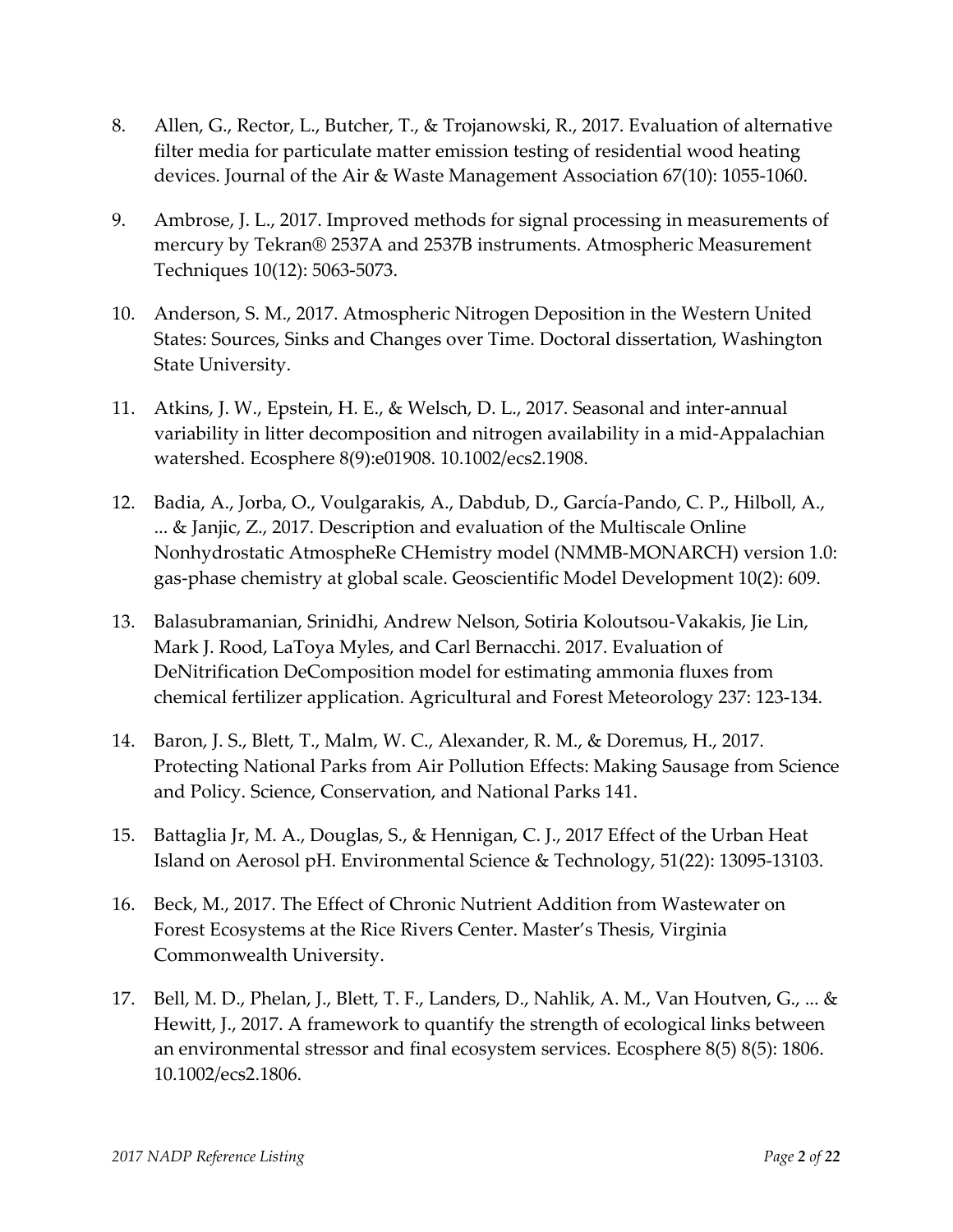- 8. Allen, G., Rector, L., Butcher, T., & Trojanowski, R., 2017. Evaluation of alternative filter media for particulate matter emission testing of residential wood heating devices. Journal of the Air & Waste Management Association 67(10): 1055‐1060.
- 9. Ambrose, J. L., 2017. Improved methods for signal processing in measurements of mercury by Tekran® 2537A and 2537B instruments. Atmospheric Measurement Techniques 10(12): 5063‐5073.
- 10. Anderson, S. M., 2017. Atmospheric Nitrogen Deposition in the Western United States: Sources, Sinks and Changes over Time. Doctoral dissertation, Washington State University.
- 11. Atkins, J. W., Epstein, H. E., & Welsch, D. L., 2017. Seasonal and inter‐annual variability in litter decomposition and nitrogen availability in a mid‐Appalachian watershed. Ecosphere 8(9):e01908. 10.1002/ecs2.1908.
- 12. Badia, A., Jorba, O., Voulgarakis, A., Dabdub, D., García‐Pando, C. P., Hilboll, A., ... & Janjic, Z., 2017. Description and evaluation of the Multiscale Online Nonhydrostatic AtmospheRe CHemistry model (NMMB‐MONARCH) version 1.0: gas‐phase chemistry at global scale. Geoscientific Model Development 10(2): 609.
- 13. Balasubramanian, Srinidhi, Andrew Nelson, Sotiria Koloutsou‐Vakakis, Jie Lin, Mark J. Rood, LaToya Myles, and Carl Bernacchi. 2017. Evaluation of DeNitrification DeComposition model for estimating ammonia fluxes from chemical fertilizer application. Agricultural and Forest Meteorology 237: 123‐134.
- 14. Baron, J. S., Blett, T., Malm, W. C., Alexander, R. M., & Doremus, H., 2017. Protecting National Parks from Air Pollution Effects: Making Sausage from Science and Policy. Science, Conservation, and National Parks 141.
- 15. Battaglia Jr, M. A., Douglas, S., & Hennigan, C. J., 2017 Effect of the Urban Heat Island on Aerosol pH. Environmental Science & Technology, 51(22): 13095‐13103.
- 16. Beck, M., 2017. The Effect of Chronic Nutrient Addition from Wastewater on Forest Ecosystems at the Rice Rivers Center. Master's Thesis, Virginia Commonwealth University.
- 17. Bell, M. D., Phelan, J., Blett, T. F., Landers, D., Nahlik, A. M., Van Houtven, G., ... & Hewitt, J., 2017. A framework to quantify the strength of ecological links between an environmental stressor and final ecosystem services. Ecosphere 8(5) 8(5): 1806. 10.1002/ecs2.1806.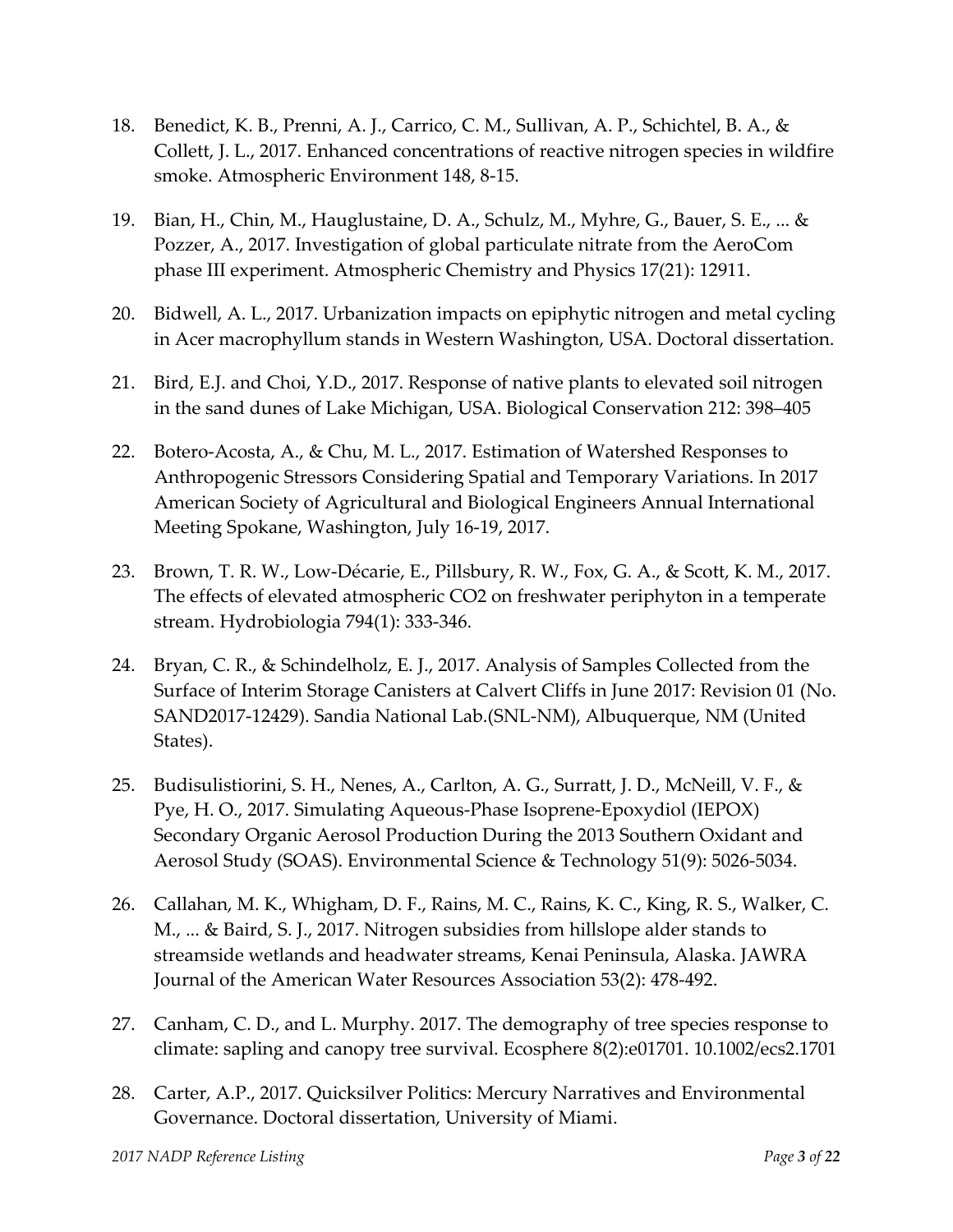- 18. Benedict, K. B., Prenni, A. J., Carrico, C. M., Sullivan, A. P., Schichtel, B. A., & Collett, J. L., 2017. Enhanced concentrations of reactive nitrogen species in wildfire smoke. Atmospheric Environment 148, 8‐15.
- 19. Bian, H., Chin, M., Hauglustaine, D. A., Schulz, M., Myhre, G., Bauer, S. E., ... & Pozzer, A., 2017. Investigation of global particulate nitrate from the AeroCom phase III experiment. Atmospheric Chemistry and Physics 17(21): 12911.
- 20. Bidwell, A. L., 2017. Urbanization impacts on epiphytic nitrogen and metal cycling in Acer macrophyllum stands in Western Washington, USA. Doctoral dissertation.
- 21. Bird, E.J. and Choi, Y.D., 2017. Response of native plants to elevated soil nitrogen in the sand dunes of Lake Michigan, USA. Biological Conservation 212: 398–405
- 22. Botero‐Acosta, A., & Chu, M. L., 2017. Estimation of Watershed Responses to Anthropogenic Stressors Considering Spatial and Temporary Variations. In 2017 American Society of Agricultural and Biological Engineers Annual International Meeting Spokane, Washington, July 16‐19, 2017.
- 23. Brown, T. R. W., Low‐Décarie, E., Pillsbury, R. W., Fox, G. A., & Scott, K. M., 2017. The effects of elevated atmospheric CO2 on freshwater periphyton in a temperate stream. Hydrobiologia 794(1): 333‐346.
- 24. Bryan, C. R., & Schindelholz, E. J., 2017. Analysis of Samples Collected from the Surface of Interim Storage Canisters at Calvert Cliffs in June 2017: Revision 01 (No. SAND2017‐12429). Sandia National Lab.(SNL‐NM), Albuquerque, NM (United States).
- 25. Budisulistiorini, S. H., Nenes, A., Carlton, A. G., Surratt, J. D., McNeill, V. F., & Pye, H. O., 2017. Simulating Aqueous‐Phase Isoprene‐Epoxydiol (IEPOX) Secondary Organic Aerosol Production During the 2013 Southern Oxidant and Aerosol Study (SOAS). Environmental Science & Technology 51(9): 5026‐5034.
- 26. Callahan, M. K., Whigham, D. F., Rains, M. C., Rains, K. C., King, R. S., Walker, C. M., ... & Baird, S. J., 2017. Nitrogen subsidies from hillslope alder stands to streamside wetlands and headwater streams, Kenai Peninsula, Alaska. JAWRA Journal of the American Water Resources Association 53(2): 478‐492.
- 27. Canham, C. D., and L. Murphy. 2017. The demography of tree species response to climate: sapling and canopy tree survival. Ecosphere 8(2):e01701. 10.1002/ecs2.1701
- 28. Carter, A.P., 2017. Quicksilver Politics: Mercury Narratives and Environmental Governance. Doctoral dissertation, University of Miami.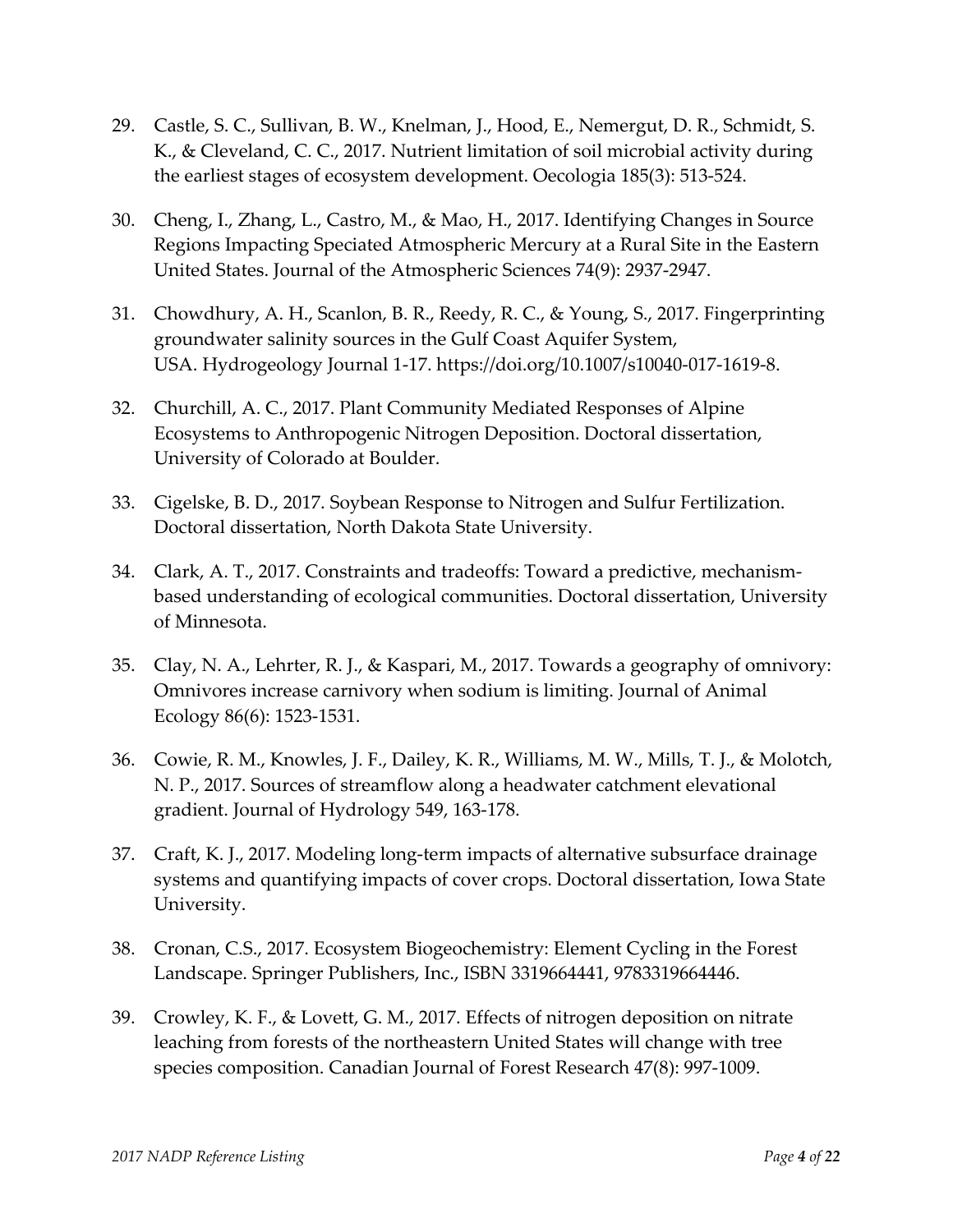- 29. Castle, S. C., Sullivan, B. W., Knelman, J., Hood, E., Nemergut, D. R., Schmidt, S. K., & Cleveland, C. C., 2017. Nutrient limitation of soil microbial activity during the earliest stages of ecosystem development. Oecologia 185(3): 513‐524.
- 30. Cheng, I., Zhang, L., Castro, M., & Mao, H., 2017. Identifying Changes in Source Regions Impacting Speciated Atmospheric Mercury at a Rural Site in the Eastern United States. Journal of the Atmospheric Sciences 74(9): 2937‐2947.
- 31. Chowdhury, A. H., Scanlon, B. R., Reedy, R. C., & Young, S., 2017. Fingerprinting groundwater salinity sources in the Gulf Coast Aquifer System, USA. Hydrogeology Journal 1‐17. https://doi.org/10.1007/s10040‐017‐1619‐8.
- 32. Churchill, A. C., 2017. Plant Community Mediated Responses of Alpine Ecosystems to Anthropogenic Nitrogen Deposition. Doctoral dissertation, University of Colorado at Boulder.
- 33. Cigelske, B. D., 2017. Soybean Response to Nitrogen and Sulfur Fertilization. Doctoral dissertation, North Dakota State University.
- 34. Clark, A. T., 2017. Constraints and tradeoffs: Toward a predictive, mechanism‐ based understanding of ecological communities. Doctoral dissertation, University of Minnesota.
- 35. Clay, N. A., Lehrter, R. J., & Kaspari, M., 2017. Towards a geography of omnivory: Omnivores increase carnivory when sodium is limiting. Journal of Animal Ecology 86(6): 1523‐1531.
- 36. Cowie, R. M., Knowles, J. F., Dailey, K. R., Williams, M. W., Mills, T. J., & Molotch, N. P., 2017. Sources of streamflow along a headwater catchment elevational gradient. Journal of Hydrology 549, 163‐178.
- 37. Craft, K. J., 2017. Modeling long‐term impacts of alternative subsurface drainage systems and quantifying impacts of cover crops. Doctoral dissertation, Iowa State University.
- 38. Cronan, C.S., 2017. Ecosystem Biogeochemistry: Element Cycling in the Forest Landscape. Springer Publishers, Inc., ISBN 3319664441, 9783319664446.
- 39. Crowley, K. F., & Lovett, G. M., 2017. Effects of nitrogen deposition on nitrate leaching from forests of the northeastern United States will change with tree species composition. Canadian Journal of Forest Research 47(8): 997‐1009.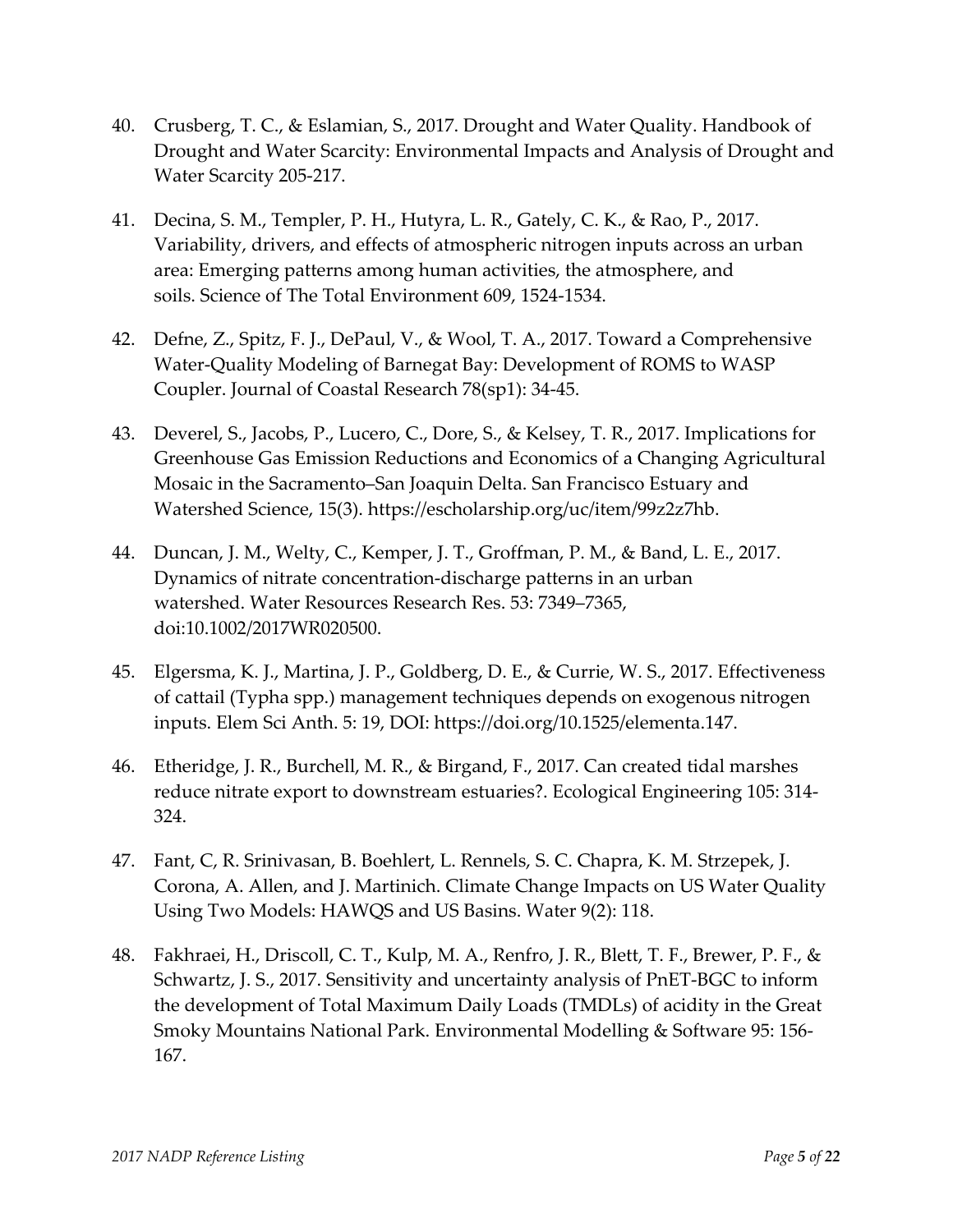- 40. Crusberg, T. C., & Eslamian, S., 2017. Drought and Water Quality. Handbook of Drought and Water Scarcity: Environmental Impacts and Analysis of Drought and Water Scarcity 205‐217.
- 41. Decina, S. M., Templer, P. H., Hutyra, L. R., Gately, C. K., & Rao, P., 2017. Variability, drivers, and effects of atmospheric nitrogen inputs across an urban area: Emerging patterns among human activities, the atmosphere, and soils. Science of The Total Environment 609, 1524‐1534.
- 42. Defne, Z., Spitz, F. J., DePaul, V., & Wool, T. A., 2017. Toward a Comprehensive Water‐Quality Modeling of Barnegat Bay: Development of ROMS to WASP Coupler. Journal of Coastal Research 78(sp1): 34‐45.
- 43. Deverel, S., Jacobs, P., Lucero, C., Dore, S., & Kelsey, T. R., 2017. Implications for Greenhouse Gas Emission Reductions and Economics of a Changing Agricultural Mosaic in the Sacramento–San Joaquin Delta. San Francisco Estuary and Watershed Science, 15(3). https://escholarship.org/uc/item/99z2z7hb.
- 44. Duncan, J. M., Welty, C., Kemper, J. T., Groffman, P. M., & Band, L. E., 2017. Dynamics of nitrate concentration‐discharge patterns in an urban watershed. Water Resources Research Res. 53: 7349–7365, doi:10.1002/2017WR020500.
- 45. Elgersma, K. J., Martina, J. P., Goldberg, D. E., & Currie, W. S., 2017. Effectiveness of cattail (Typha spp.) management techniques depends on exogenous nitrogen inputs. Elem Sci Anth. 5: 19, DOI: https://doi.org/10.1525/elementa.147.
- 46. Etheridge, J. R., Burchell, M. R., & Birgand, F., 2017. Can created tidal marshes reduce nitrate export to downstream estuaries?. Ecological Engineering 105: 314‐ 324.
- 47. Fant, C, R. Srinivasan, B. Boehlert, L. Rennels, S. C. Chapra, K. M. Strzepek, J. Corona, A. Allen, and J. Martinich. Climate Change Impacts on US Water Quality Using Two Models: HAWQS and US Basins. Water 9(2): 118.
- 48. Fakhraei, H., Driscoll, C. T., Kulp, M. A., Renfro, J. R., Blett, T. F., Brewer, P. F., & Schwartz, J. S., 2017. Sensitivity and uncertainty analysis of PnET‐BGC to inform the development of Total Maximum Daily Loads (TMDLs) of acidity in the Great Smoky Mountains National Park. Environmental Modelling & Software 95: 156‐ 167.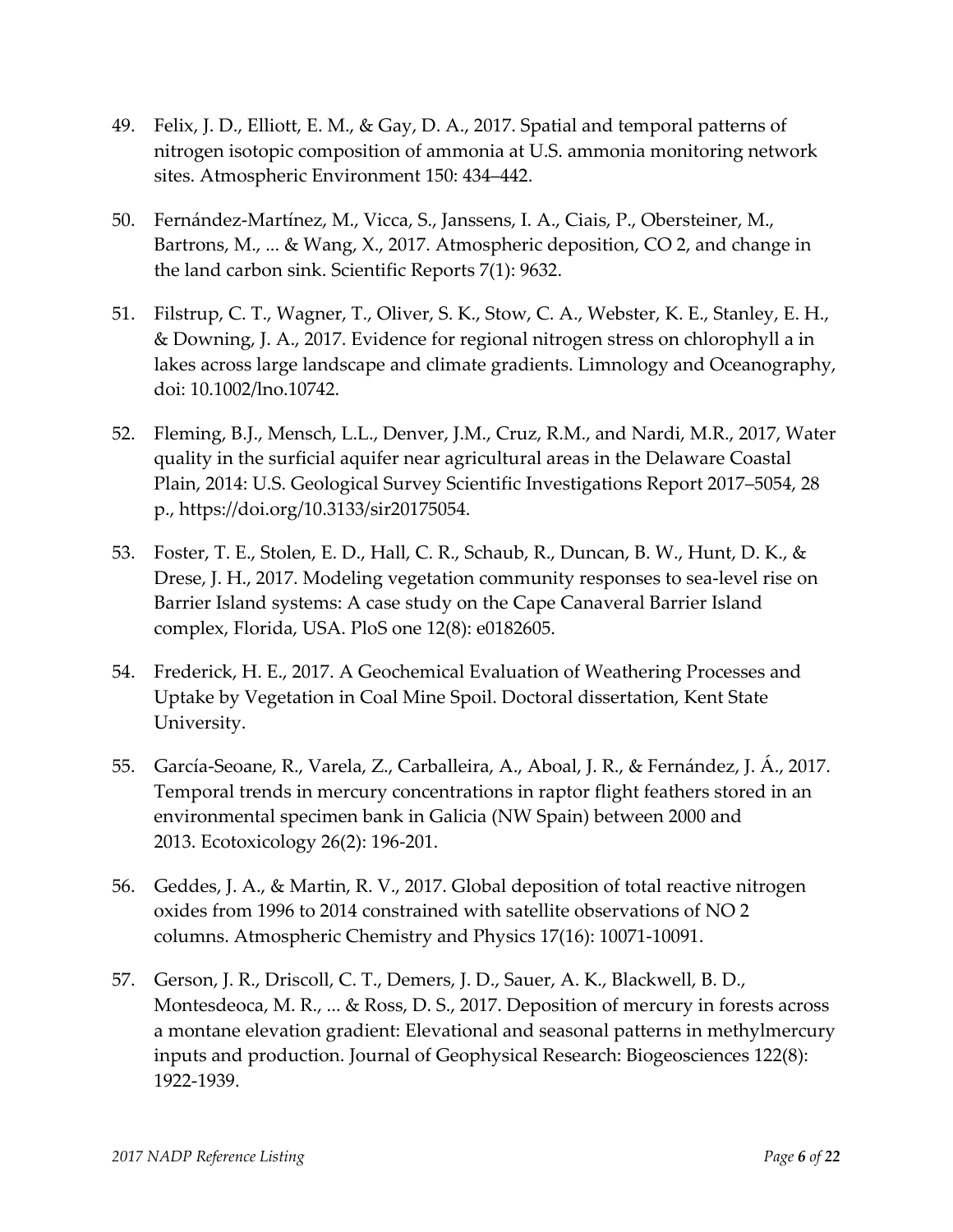- 49. Felix, J. D., Elliott, E. M., & Gay, D. A., 2017. Spatial and temporal patterns of nitrogen isotopic composition of ammonia at U.S. ammonia monitoring network sites. Atmospheric Environment 150: 434–442.
- 50. Fernández‐Martínez, M., Vicca, S., Janssens, I. A., Ciais, P., Obersteiner, M., Bartrons, M., ... & Wang, X., 2017. Atmospheric deposition, CO 2, and change in the land carbon sink. Scientific Reports 7(1): 9632.
- 51. Filstrup, C. T., Wagner, T., Oliver, S. K., Stow, C. A., Webster, K. E., Stanley, E. H., & Downing, J. A., 2017. Evidence for regional nitrogen stress on chlorophyll a in lakes across large landscape and climate gradients. Limnology and Oceanography, doi: 10.1002/lno.10742.
- 52. Fleming, B.J., Mensch, L.L., Denver, J.M., Cruz, R.M., and Nardi, M.R., 2017, Water quality in the surficial aquifer near agricultural areas in the Delaware Coastal Plain, 2014: U.S. Geological Survey Scientific Investigations Report 2017–5054, 28 p., https://doi.org/10.3133/sir20175054.
- 53. Foster, T. E., Stolen, E. D., Hall, C. R., Schaub, R., Duncan, B. W., Hunt, D. K., & Drese, J. H., 2017. Modeling vegetation community responses to sea‐level rise on Barrier Island systems: A case study on the Cape Canaveral Barrier Island complex, Florida, USA. PloS one 12(8): e0182605.
- 54. Frederick, H. E., 2017. A Geochemical Evaluation of Weathering Processes and Uptake by Vegetation in Coal Mine Spoil. Doctoral dissertation, Kent State University.
- 55. García‐Seoane, R., Varela, Z., Carballeira, A., Aboal, J. R., & Fernández, J. Á., 2017. Temporal trends in mercury concentrations in raptor flight feathers stored in an environmental specimen bank in Galicia (NW Spain) between 2000 and 2013. Ecotoxicology 26(2): 196‐201.
- 56. Geddes, J. A., & Martin, R. V., 2017. Global deposition of total reactive nitrogen oxides from 1996 to 2014 constrained with satellite observations of NO 2 columns. Atmospheric Chemistry and Physics 17(16): 10071‐10091.
- 57. Gerson, J. R., Driscoll, C. T., Demers, J. D., Sauer, A. K., Blackwell, B. D., Montesdeoca, M. R., ... & Ross, D. S., 2017. Deposition of mercury in forests across a montane elevation gradient: Elevational and seasonal patterns in methylmercury inputs and production. Journal of Geophysical Research: Biogeosciences 122(8): 1922‐1939.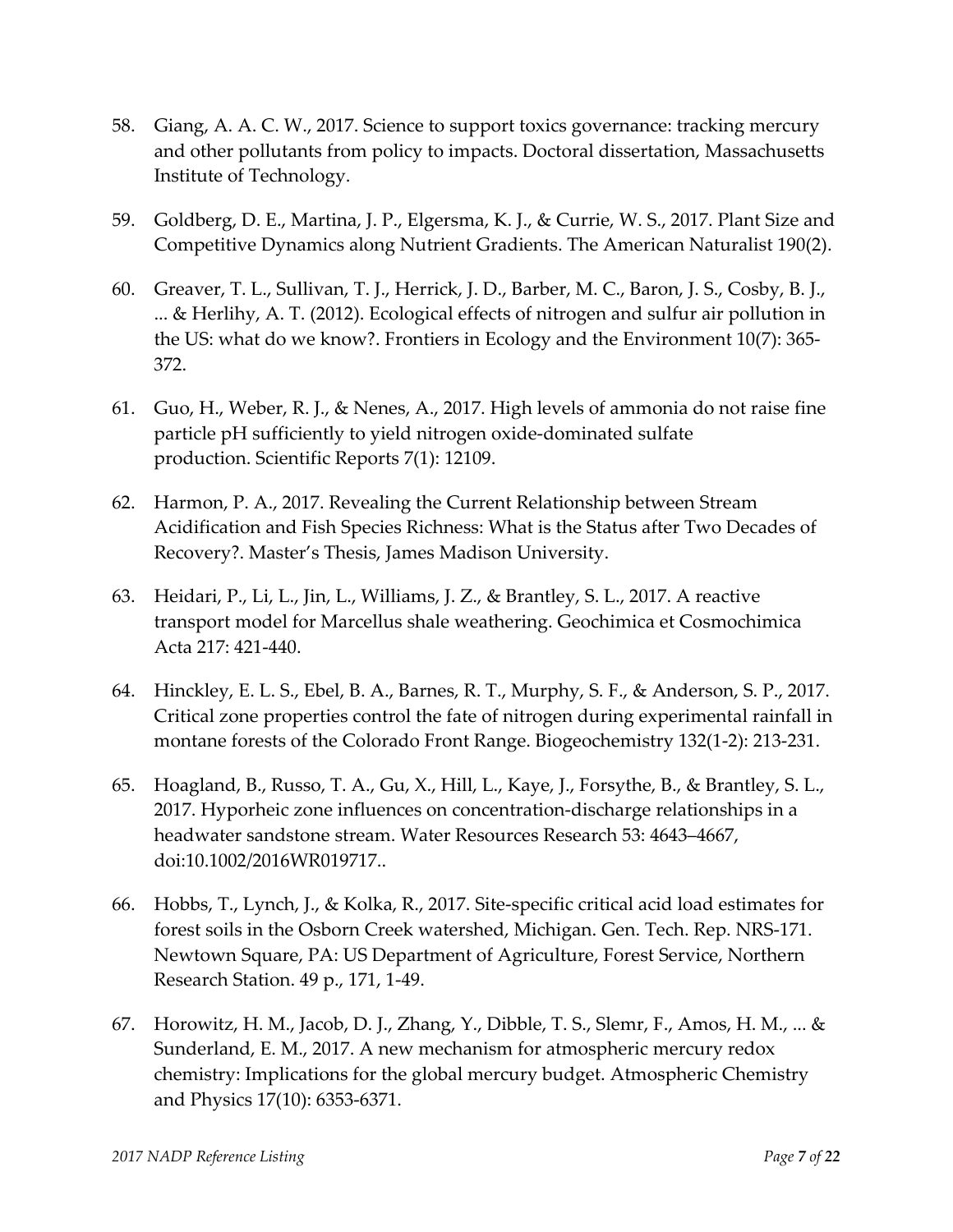- 58. Giang, A. A. C. W., 2017. Science to support toxics governance: tracking mercury and other pollutants from policy to impacts. Doctoral dissertation, Massachusetts Institute of Technology.
- 59. Goldberg, D. E., Martina, J. P., Elgersma, K. J., & Currie, W. S., 2017. Plant Size and Competitive Dynamics along Nutrient Gradients. The American Naturalist 190(2).
- 60. Greaver, T. L., Sullivan, T. J., Herrick, J. D., Barber, M. C., Baron, J. S., Cosby, B. J., ... & Herlihy, A. T. (2012). Ecological effects of nitrogen and sulfur air pollution in the US: what do we know?. Frontiers in Ecology and the Environment 10(7): 365‐ 372.
- 61. Guo, H., Weber, R. J., & Nenes, A., 2017. High levels of ammonia do not raise fine particle pH sufficiently to yield nitrogen oxide‐dominated sulfate production. Scientific Reports 7(1): 12109.
- 62. Harmon, P. A., 2017. Revealing the Current Relationship between Stream Acidification and Fish Species Richness: What is the Status after Two Decades of Recovery?. Master's Thesis, James Madison University.
- 63. Heidari, P., Li, L., Jin, L., Williams, J. Z., & Brantley, S. L., 2017. A reactive transport model for Marcellus shale weathering. Geochimica et Cosmochimica Acta 217: 421‐440.
- 64. Hinckley, E. L. S., Ebel, B. A., Barnes, R. T., Murphy, S. F., & Anderson, S. P., 2017. Critical zone properties control the fate of nitrogen during experimental rainfall in montane forests of the Colorado Front Range. Biogeochemistry 132(1‐2): 213‐231.
- 65. Hoagland, B., Russo, T. A., Gu, X., Hill, L., Kaye, J., Forsythe, B., & Brantley, S. L., 2017. Hyporheic zone influences on concentration‐discharge relationships in a headwater sandstone stream. Water Resources Research 53: 4643–4667, doi:10.1002/2016WR019717..
- 66. Hobbs, T., Lynch, J., & Kolka, R., 2017. Site‐specific critical acid load estimates for forest soils in the Osborn Creek watershed, Michigan. Gen. Tech. Rep. NRS‐171. Newtown Square, PA: US Department of Agriculture, Forest Service, Northern Research Station. 49 p., 171, 1‐49.
- 67. Horowitz, H. M., Jacob, D. J., Zhang, Y., Dibble, T. S., Slemr, F., Amos, H. M., ... & Sunderland, E. M., 2017. A new mechanism for atmospheric mercury redox chemistry: Implications for the global mercury budget. Atmospheric Chemistry and Physics 17(10): 6353‐6371.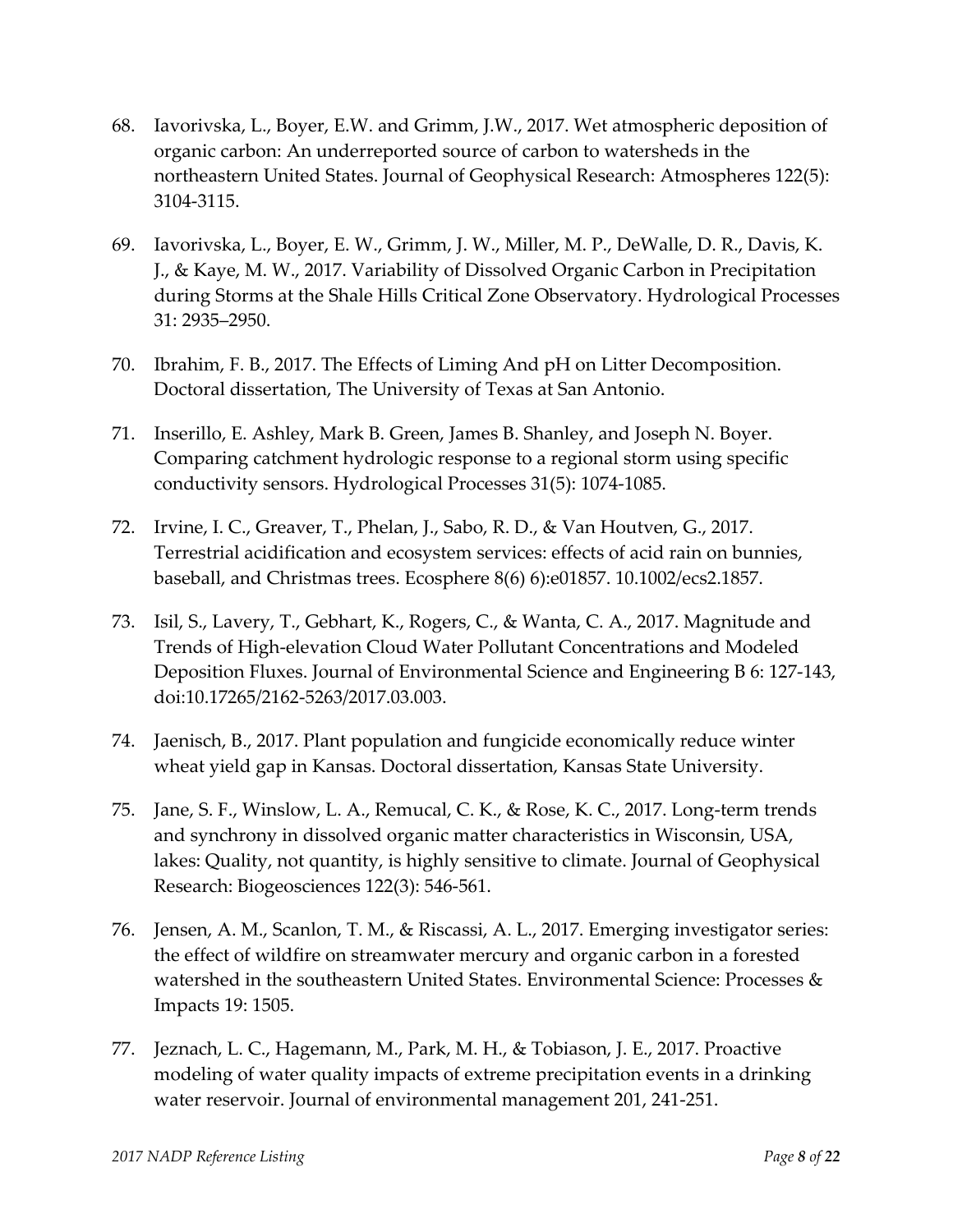- 68. Iavorivska, L., Boyer, E.W. and Grimm, J.W., 2017. Wet atmospheric deposition of organic carbon: An underreported source of carbon to watersheds in the northeastern United States. Journal of Geophysical Research: Atmospheres 122(5): 3104‐3115.
- 69. Iavorivska, L., Boyer, E. W., Grimm, J. W., Miller, M. P., DeWalle, D. R., Davis, K. J., & Kaye, M. W., 2017. Variability of Dissolved Organic Carbon in Precipitation during Storms at the Shale Hills Critical Zone Observatory. Hydrological Processes 31: 2935–2950.
- 70. Ibrahim, F. B., 2017. The Effects of Liming And pH on Litter Decomposition. Doctoral dissertation, The University of Texas at San Antonio.
- 71. Inserillo, E. Ashley, Mark B. Green, James B. Shanley, and Joseph N. Boyer. Comparing catchment hydrologic response to a regional storm using specific conductivity sensors. Hydrological Processes 31(5): 1074‐1085.
- 72. Irvine, I. C., Greaver, T., Phelan, J., Sabo, R. D., & Van Houtven, G., 2017. Terrestrial acidification and ecosystem services: effects of acid rain on bunnies, baseball, and Christmas trees. Ecosphere 8(6) 6):e01857. 10.1002/ecs2.1857.
- 73. Isil, S., Lavery, T., Gebhart, K., Rogers, C., & Wanta, C. A., 2017. Magnitude and Trends of High‐elevation Cloud Water Pollutant Concentrations and Modeled Deposition Fluxes. Journal of Environmental Science and Engineering B 6: 127‐143, doi:10.17265/2162‐5263/2017.03.003.
- 74. Jaenisch, B., 2017. Plant population and fungicide economically reduce winter wheat yield gap in Kansas. Doctoral dissertation, Kansas State University.
- 75. Jane, S. F., Winslow, L. A., Remucal, C. K., & Rose, K. C., 2017. Long‐term trends and synchrony in dissolved organic matter characteristics in Wisconsin, USA, lakes: Quality, not quantity, is highly sensitive to climate. Journal of Geophysical Research: Biogeosciences 122(3): 546‐561.
- 76. Jensen, A. M., Scanlon, T. M., & Riscassi, A. L., 2017. Emerging investigator series: the effect of wildfire on streamwater mercury and organic carbon in a forested watershed in the southeastern United States. Environmental Science: Processes & Impacts 19: 1505.
- 77. Jeznach, L. C., Hagemann, M., Park, M. H., & Tobiason, J. E., 2017. Proactive modeling of water quality impacts of extreme precipitation events in a drinking water reservoir. Journal of environmental management 201, 241‐251.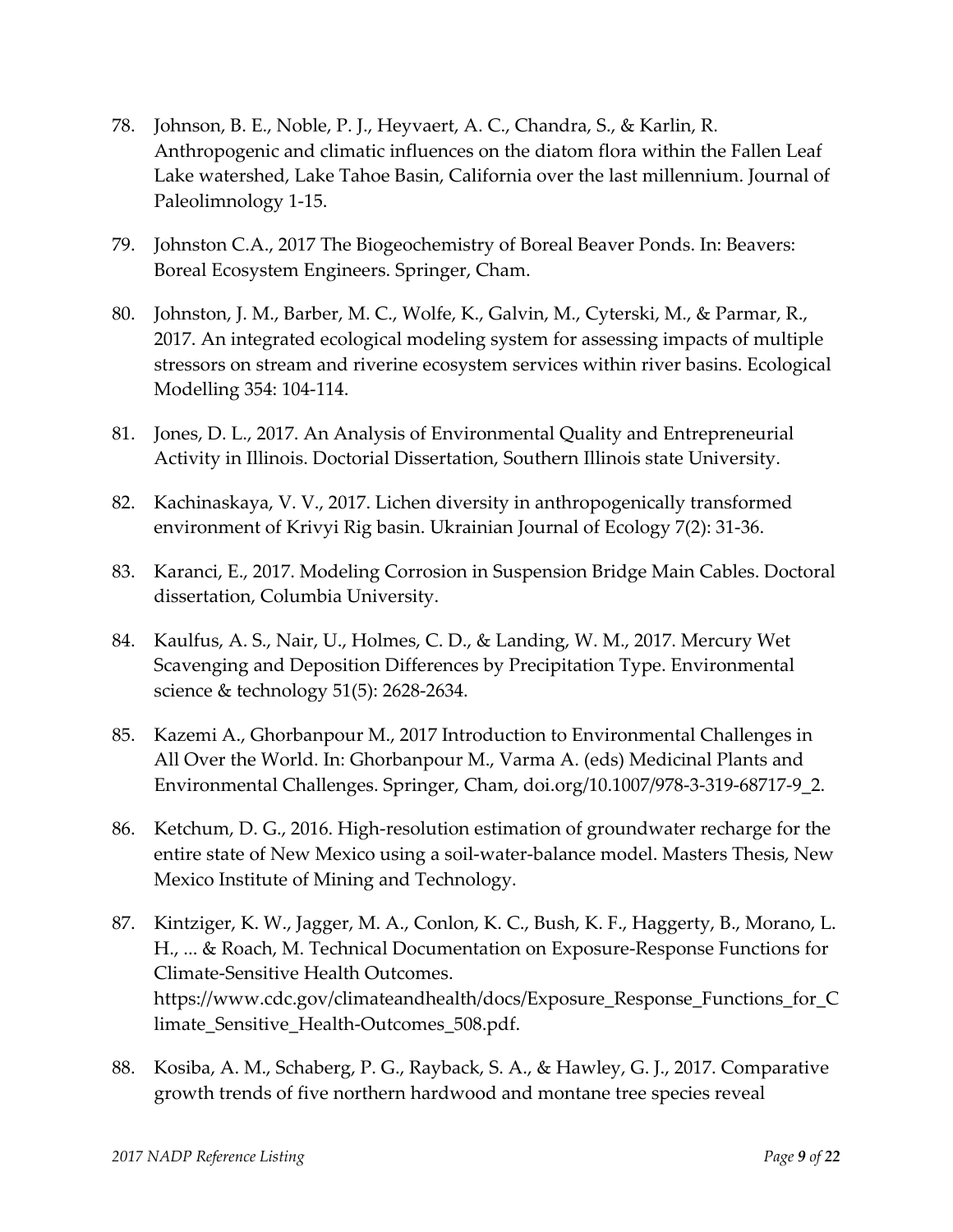- 78. Johnson, B. E., Noble, P. J., Heyvaert, A. C., Chandra, S., & Karlin, R. Anthropogenic and climatic influences on the diatom flora within the Fallen Leaf Lake watershed, Lake Tahoe Basin, California over the last millennium. Journal of Paleolimnology 1‐15.
- 79. Johnston C.A., 2017 The Biogeochemistry of Boreal Beaver Ponds. In: Beavers: Boreal Ecosystem Engineers. Springer, Cham.
- 80. Johnston, J. M., Barber, M. C., Wolfe, K., Galvin, M., Cyterski, M., & Parmar, R., 2017. An integrated ecological modeling system for assessing impacts of multiple stressors on stream and riverine ecosystem services within river basins. Ecological Modelling 354: 104‐114.
- 81. Jones, D. L., 2017. An Analysis of Environmental Quality and Entrepreneurial Activity in Illinois. Doctorial Dissertation, Southern Illinois state University.
- 82. Kachinaskaya, V. V., 2017. Lichen diversity in anthropogenically transformed environment of Krivyi Rig basin. Ukrainian Journal of Ecology 7(2): 31‐36.
- 83. Karanci, E., 2017. Modeling Corrosion in Suspension Bridge Main Cables. Doctoral dissertation, Columbia University.
- 84. Kaulfus, A. S., Nair, U., Holmes, C. D., & Landing, W. M., 2017. Mercury Wet Scavenging and Deposition Differences by Precipitation Type. Environmental science & technology 51(5): 2628‐2634.
- 85. Kazemi A., Ghorbanpour M., 2017 Introduction to Environmental Challenges in All Over the World. In: Ghorbanpour M., Varma A. (eds) Medicinal Plants and Environmental Challenges. Springer, Cham, doi.org/10.1007/978‐3‐319‐68717‐9\_2.
- 86. Ketchum, D. G., 2016. High‐resolution estimation of groundwater recharge for the entire state of New Mexico using a soil‐water‐balance model. Masters Thesis, New Mexico Institute of Mining and Technology.
- 87. Kintziger, K. W., Jagger, M. A., Conlon, K. C., Bush, K. F., Haggerty, B., Morano, L. H., ... & Roach, M. Technical Documentation on Exposure‐Response Functions for Climate‐Sensitive Health Outcomes. https://www.cdc.gov/climateandhealth/docs/Exposure\_Response\_Functions\_for\_C limate\_Sensitive\_Health‐Outcomes\_508.pdf.
- 88. Kosiba, A. M., Schaberg, P. G., Rayback, S. A., & Hawley, G. J., 2017. Comparative growth trends of five northern hardwood and montane tree species reveal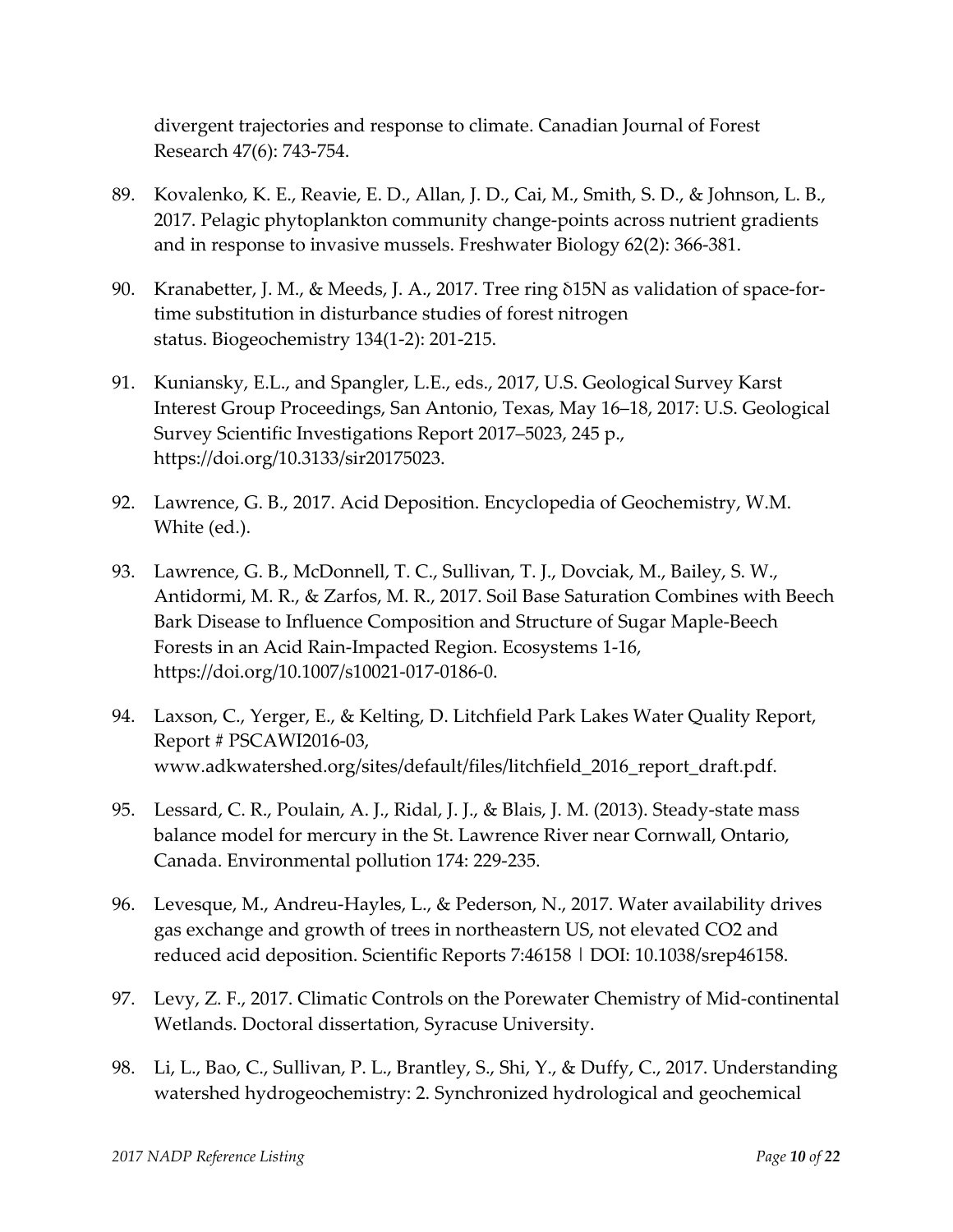divergent trajectories and response to climate. Canadian Journal of Forest Research 47(6): 743‐754.

- 89. Kovalenko, K. E., Reavie, E. D., Allan, J. D., Cai, M., Smith, S. D., & Johnson, L. B., 2017. Pelagic phytoplankton community change‐points across nutrient gradients and in response to invasive mussels. Freshwater Biology 62(2): 366‐381.
- 90. Kranabetter, J. M., & Meeds, J. A., 2017. Tree ring δ15N as validation of space-fortime substitution in disturbance studies of forest nitrogen status. Biogeochemistry 134(1‐2): 201‐215.
- 91. Kuniansky, E.L., and Spangler, L.E., eds., 2017, U.S. Geological Survey Karst Interest Group Proceedings, San Antonio, Texas, May 16–18, 2017: U.S. Geological Survey Scientific Investigations Report 2017–5023, 245 p., https://doi.org/10.3133/sir20175023.
- 92. Lawrence, G. B., 2017. Acid Deposition. Encyclopedia of Geochemistry, W.M. White (ed.).
- 93. Lawrence, G. B., McDonnell, T. C., Sullivan, T. J., Dovciak, M., Bailey, S. W., Antidormi, M. R., & Zarfos, M. R., 2017. Soil Base Saturation Combines with Beech Bark Disease to Influence Composition and Structure of Sugar Maple‐Beech Forests in an Acid Rain‐Impacted Region. Ecosystems 1‐16, https://doi.org/10.1007/s10021‐017‐0186‐0.
- 94. Laxson, C., Yerger, E., & Kelting, D. Litchfield Park Lakes Water Quality Report, Report # PSCAWI2016‐03, www.adkwatershed.org/sites/default/files/litchfield\_2016\_report\_draft.pdf.
- 95. Lessard, C. R., Poulain, A. J., Ridal, J. J., & Blais, J. M. (2013). Steady-state mass balance model for mercury in the St. Lawrence River near Cornwall, Ontario, Canada. Environmental pollution 174: 229‐235.
- 96. Levesque, M., Andreu-Hayles, L., & Pederson, N., 2017. Water availability drives gas exchange and growth of trees in northeastern US, not elevated CO2 and reduced acid deposition. Scientific Reports 7:46158 | DOI: 10.1038/srep46158.
- 97. Levy, Z. F., 2017. Climatic Controls on the Porewater Chemistry of Mid-continental Wetlands. Doctoral dissertation, Syracuse University.
- 98. Li, L., Bao, C., Sullivan, P. L., Brantley, S., Shi, Y., & Duffy, C., 2017. Understanding watershed hydrogeochemistry: 2. Synchronized hydrological and geochemical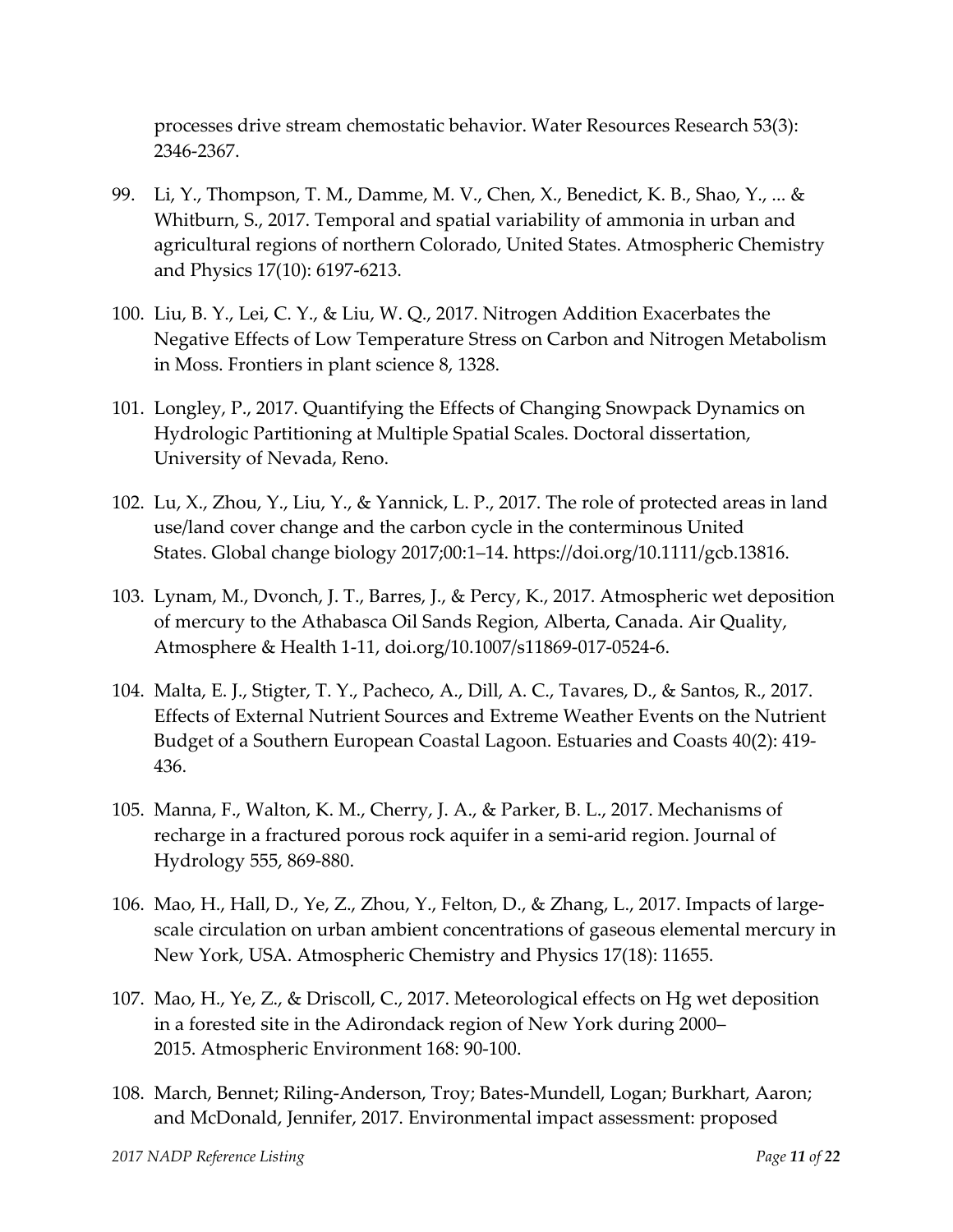processes drive stream chemostatic behavior. Water Resources Research 53(3): 2346‐2367.

- 99. Li, Y., Thompson, T. M., Damme, M. V., Chen, X., Benedict, K. B., Shao, Y., ... & Whitburn, S., 2017. Temporal and spatial variability of ammonia in urban and agricultural regions of northern Colorado, United States. Atmospheric Chemistry and Physics 17(10): 6197‐6213.
- 100. Liu, B. Y., Lei, C. Y., & Liu, W. Q., 2017. Nitrogen Addition Exacerbates the Negative Effects of Low Temperature Stress on Carbon and Nitrogen Metabolism in Moss. Frontiers in plant science 8, 1328.
- 101. Longley, P., 2017. Quantifying the Effects of Changing Snowpack Dynamics on Hydrologic Partitioning at Multiple Spatial Scales. Doctoral dissertation, University of Nevada, Reno.
- 102. Lu, X., Zhou, Y., Liu, Y., & Yannick, L. P., 2017. The role of protected areas in land use/land cover change and the carbon cycle in the conterminous United States. Global change biology 2017;00:1–14. https://doi.org/10.1111/gcb.13816.
- 103. Lynam, M., Dvonch, J. T., Barres, J., & Percy, K., 2017. Atmospheric wet deposition of mercury to the Athabasca Oil Sands Region, Alberta, Canada. Air Quality, Atmosphere & Health 1‐11, doi.org/10.1007/s11869‐017‐0524‐6.
- 104. Malta, E. J., Stigter, T. Y., Pacheco, A., Dill, A. C., Tavares, D., & Santos, R., 2017. Effects of External Nutrient Sources and Extreme Weather Events on the Nutrient Budget of a Southern European Coastal Lagoon. Estuaries and Coasts 40(2): 419‐ 436.
- 105. Manna, F., Walton, K. M., Cherry, J. A., & Parker, B. L., 2017. Mechanisms of recharge in a fractured porous rock aquifer in a semi‐arid region. Journal of Hydrology 555, 869‐880.
- 106. Mao, H., Hall, D., Ye, Z., Zhou, Y., Felton, D., & Zhang, L., 2017. Impacts of large‐ scale circulation on urban ambient concentrations of gaseous elemental mercury in New York, USA. Atmospheric Chemistry and Physics 17(18): 11655.
- 107. Mao, H., Ye, Z., & Driscoll, C., 2017. Meteorological effects on Hg wet deposition in a forested site in the Adirondack region of New York during 2000– 2015. Atmospheric Environment 168: 90‐100.
- 108. March, Bennet; Riling‐Anderson, Troy; Bates‐Mundell, Logan; Burkhart, Aaron; and McDonald, Jennifer, 2017. Environmental impact assessment: proposed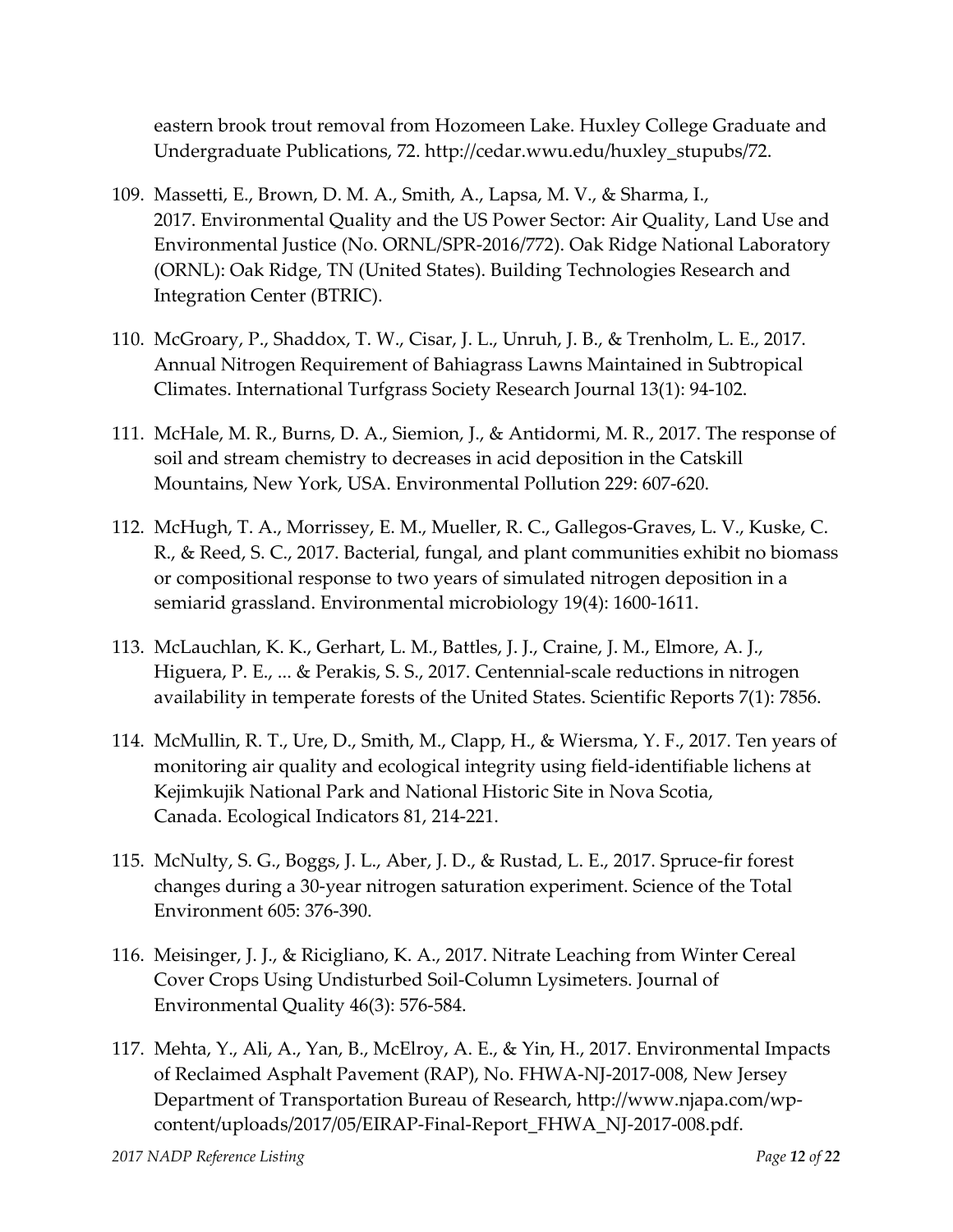eastern brook trout removal from Hozomeen Lake. Huxley College Graduate and Undergraduate Publications, 72. http://cedar.wwu.edu/huxley\_stupubs/72.

- 109. Massetti, E., Brown, D. M. A., Smith, A., Lapsa, M. V., & Sharma, I., 2017. Environmental Quality and the US Power Sector: Air Quality, Land Use and Environmental Justice (No. ORNL/SPR‐2016/772). Oak Ridge National Laboratory (ORNL): Oak Ridge, TN (United States). Building Technologies Research and Integration Center (BTRIC).
- 110. McGroary, P., Shaddox, T. W., Cisar, J. L., Unruh, J. B., & Trenholm, L. E., 2017. Annual Nitrogen Requirement of Bahiagrass Lawns Maintained in Subtropical Climates. International Turfgrass Society Research Journal 13(1): 94‐102.
- 111. McHale, M. R., Burns, D. A., Siemion, J., & Antidormi, M. R., 2017. The response of soil and stream chemistry to decreases in acid deposition in the Catskill Mountains, New York, USA. Environmental Pollution 229: 607‐620.
- 112. McHugh, T. A., Morrissey, E. M., Mueller, R. C., Gallegos‐Graves, L. V., Kuske, C. R., & Reed, S. C., 2017. Bacterial, fungal, and plant communities exhibit no biomass or compositional response to two years of simulated nitrogen deposition in a semiarid grassland. Environmental microbiology 19(4): 1600‐1611.
- 113. McLauchlan, K. K., Gerhart, L. M., Battles, J. J., Craine, J. M., Elmore, A. J., Higuera, P. E., ... & Perakis, S. S., 2017. Centennial‐scale reductions in nitrogen availability in temperate forests of the United States. Scientific Reports 7(1): 7856.
- 114. McMullin, R. T., Ure, D., Smith, M., Clapp, H., & Wiersma, Y. F., 2017. Ten years of monitoring air quality and ecological integrity using field‐identifiable lichens at Kejimkujik National Park and National Historic Site in Nova Scotia, Canada. Ecological Indicators 81, 214‐221.
- 115. McNulty, S. G., Boggs, J. L., Aber, J. D., & Rustad, L. E., 2017. Spruce‐fir forest changes during a 30‐year nitrogen saturation experiment. Science of the Total Environment 605: 376‐390.
- 116. Meisinger, J. J., & Ricigliano, K. A., 2017. Nitrate Leaching from Winter Cereal Cover Crops Using Undisturbed Soil‐Column Lysimeters. Journal of Environmental Quality 46(3): 576‐584.
- 117. Mehta, Y., Ali, A., Yan, B., McElroy, A. E., & Yin, H., 2017. Environmental Impacts of Reclaimed Asphalt Pavement (RAP), No. FHWA‐NJ‐2017‐008, New Jersey Department of Transportation Bureau of Research, http://www.njapa.com/wp‐ content/uploads/2017/05/EIRAP‐Final‐Report\_FHWA\_NJ‐2017‐008.pdf.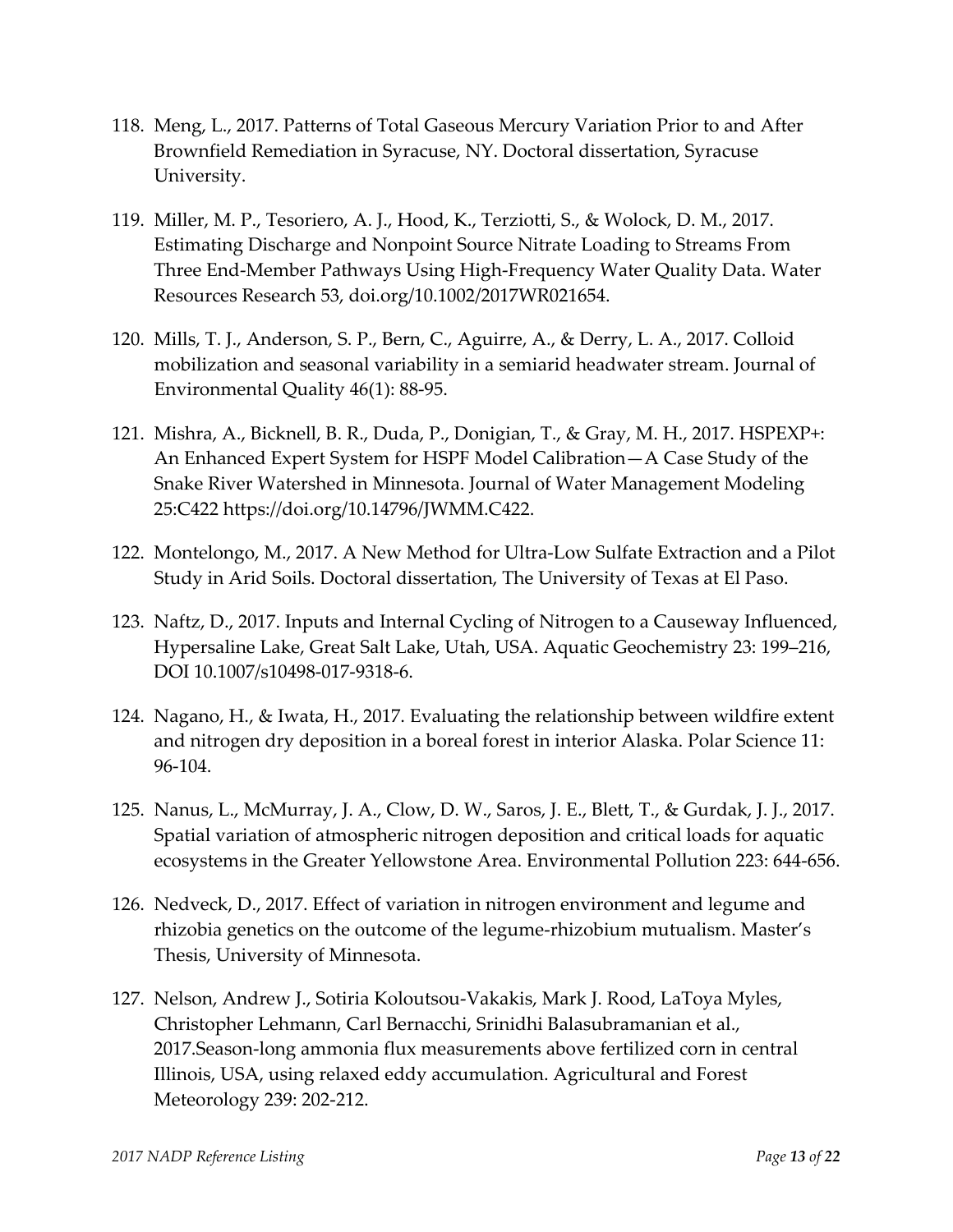- 118. Meng, L., 2017. Patterns of Total Gaseous Mercury Variation Prior to and After Brownfield Remediation in Syracuse, NY. Doctoral dissertation, Syracuse University.
- 119. Miller, M. P., Tesoriero, A. J., Hood, K., Terziotti, S., & Wolock, D. M., 2017. Estimating Discharge and Nonpoint Source Nitrate Loading to Streams From Three End‐Member Pathways Using High‐Frequency Water Quality Data. Water Resources Research 53, doi.org/10.1002/2017WR021654.
- 120. Mills, T. J., Anderson, S. P., Bern, C., Aguirre, A., & Derry, L. A., 2017. Colloid mobilization and seasonal variability in a semiarid headwater stream. Journal of Environmental Quality 46(1): 88‐95.
- 121. Mishra, A., Bicknell, B. R., Duda, P., Donigian, T., & Gray, M. H., 2017. HSPEXP+: An Enhanced Expert System for HSPF Model Calibration—A Case Study of the Snake River Watershed in Minnesota. Journal of Water Management Modeling 25:C422 https://doi.org/10.14796/JWMM.C422.
- 122. Montelongo, M., 2017. A New Method for Ultra‐Low Sulfate Extraction and a Pilot Study in Arid Soils. Doctoral dissertation, The University of Texas at El Paso.
- 123. Naftz, D., 2017. Inputs and Internal Cycling of Nitrogen to a Causeway Influenced, Hypersaline Lake, Great Salt Lake, Utah, USA. Aquatic Geochemistry 23: 199–216, DOI 10.1007/s10498‐017‐9318‐6.
- 124. Nagano, H., & Iwata, H., 2017. Evaluating the relationship between wildfire extent and nitrogen dry deposition in a boreal forest in interior Alaska. Polar Science 11: 96‐104.
- 125. Nanus, L., McMurray, J. A., Clow, D. W., Saros, J. E., Blett, T., & Gurdak, J. J., 2017. Spatial variation of atmospheric nitrogen deposition and critical loads for aquatic ecosystems in the Greater Yellowstone Area. Environmental Pollution 223: 644‐656.
- 126. Nedveck, D., 2017. Effect of variation in nitrogen environment and legume and rhizobia genetics on the outcome of the legume‐rhizobium mutualism. Master's Thesis, University of Minnesota.
- 127. Nelson, Andrew J., Sotiria Koloutsou‐Vakakis, Mark J. Rood, LaToya Myles, Christopher Lehmann, Carl Bernacchi, Srinidhi Balasubramanian et al., 2017.Season‐long ammonia flux measurements above fertilized corn in central Illinois, USA, using relaxed eddy accumulation. Agricultural and Forest Meteorology 239: 202‐212.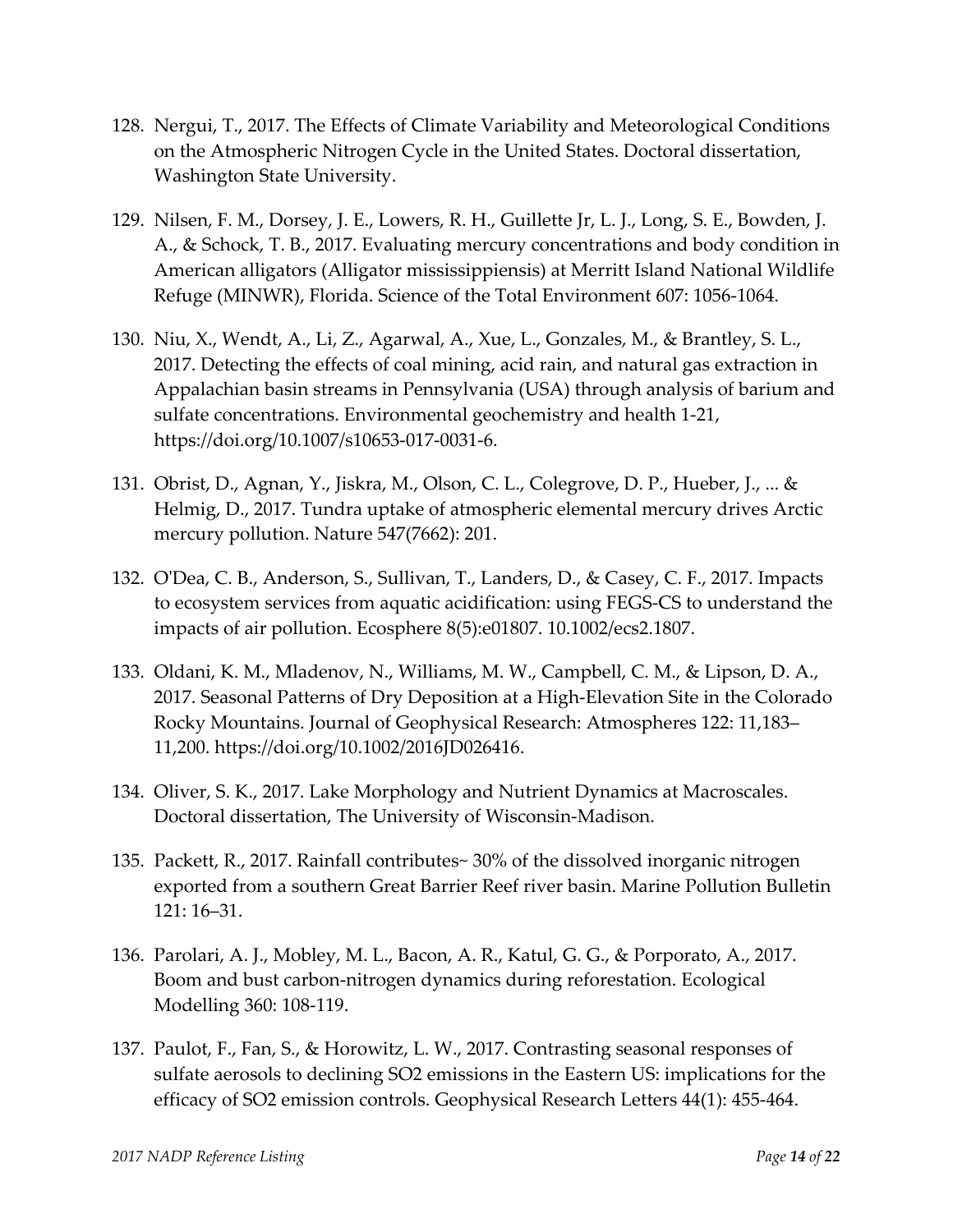- 128. Nergui, T., 2017. The Effects of Climate Variability and Meteorological Conditions on the Atmospheric Nitrogen Cycle in the United States. Doctoral dissertation, Washington State University.
- 129. Nilsen, F. M., Dorsey, J. E., Lowers, R. H., Guillette Jr, L. J., Long, S. E., Bowden, J. A., & Schock, T. B., 2017. Evaluating mercury concentrations and body condition in American alligators (Alligator mississippiensis) at Merritt Island National Wildlife Refuge (MINWR), Florida. Science of the Total Environment 607: 1056‐1064.
- 130. Niu, X., Wendt, A., Li, Z., Agarwal, A., Xue, L., Gonzales, M., & Brantley, S. L., 2017. Detecting the effects of coal mining, acid rain, and natural gas extraction in Appalachian basin streams in Pennsylvania (USA) through analysis of barium and sulfate concentrations. Environmental geochemistry and health 1‐21, https://doi.org/10.1007/s10653‐017‐0031‐6.
- 131. Obrist, D., Agnan, Y., Jiskra, M., Olson, C. L., Colegrove, D. P., Hueber, J., ... & Helmig, D., 2017. Tundra uptake of atmospheric elemental mercury drives Arctic mercury pollution. Nature 547(7662): 201.
- 132. OʹDea, C. B., Anderson, S., Sullivan, T., Landers, D., & Casey, C. F., 2017. Impacts to ecosystem services from aquatic acidification: using FEGS‐CS to understand the impacts of air pollution. Ecosphere 8(5):e01807. 10.1002/ecs2.1807.
- 133. Oldani, K. M., Mladenov, N., Williams, M. W., Campbell, C. M., & Lipson, D. A., 2017. Seasonal Patterns of Dry Deposition at a High‐Elevation Site in the Colorado Rocky Mountains. Journal of Geophysical Research: Atmospheres 122: 11,183– 11,200. https://doi.org/10.1002/2016JD026416.
- 134. Oliver, S. K., 2017. Lake Morphology and Nutrient Dynamics at Macroscales. Doctoral dissertation, The University of Wisconsin‐Madison.
- 135. Packett, R., 2017. Rainfall contributes~ 30% of the dissolved inorganic nitrogen exported from a southern Great Barrier Reef river basin. Marine Pollution Bulletin 121: 16–31.
- 136. Parolari, A. J., Mobley, M. L., Bacon, A. R., Katul, G. G., & Porporato, A., 2017. Boom and bust carbon‐nitrogen dynamics during reforestation. Ecological Modelling 360: 108‐119.
- 137. Paulot, F., Fan, S., & Horowitz, L. W., 2017. Contrasting seasonal responses of sulfate aerosols to declining SO2 emissions in the Eastern US: implications for the efficacy of SO2 emission controls. Geophysical Research Letters 44(1): 455‐464.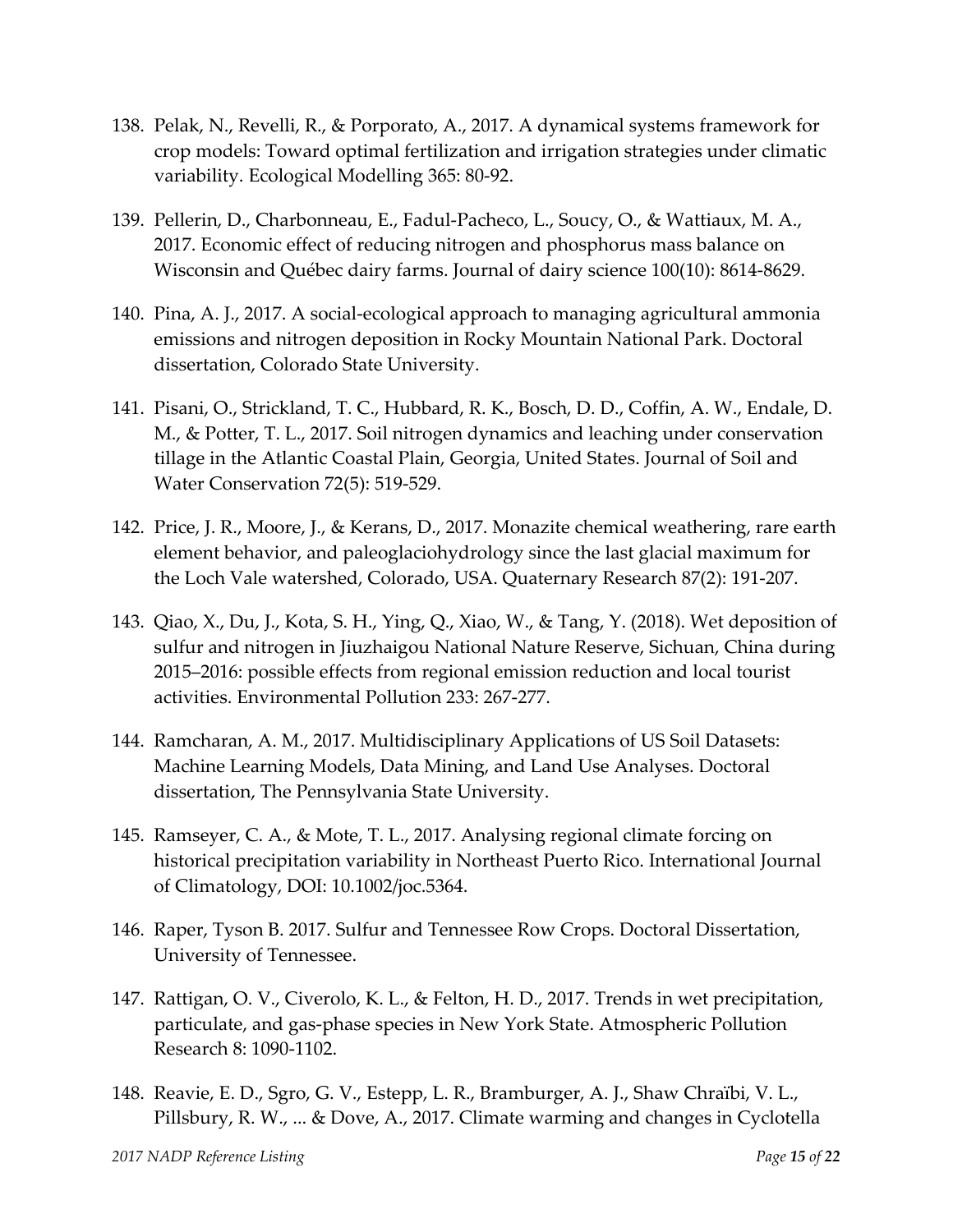- 138. Pelak, N., Revelli, R., & Porporato, A., 2017. A dynamical systems framework for crop models: Toward optimal fertilization and irrigation strategies under climatic variability. Ecological Modelling 365: 80‐92.
- 139. Pellerin, D., Charbonneau, E., Fadul‐Pacheco, L., Soucy, O., & Wattiaux, M. A., 2017. Economic effect of reducing nitrogen and phosphorus mass balance on Wisconsin and Québec dairy farms. Journal of dairy science 100(10): 8614‐8629.
- 140. Pina, A. J., 2017. A social‐ecological approach to managing agricultural ammonia emissions and nitrogen deposition in Rocky Mountain National Park. Doctoral dissertation, Colorado State University.
- 141. Pisani, O., Strickland, T. C., Hubbard, R. K., Bosch, D. D., Coffin, A. W., Endale, D. M., & Potter, T. L., 2017. Soil nitrogen dynamics and leaching under conservation tillage in the Atlantic Coastal Plain, Georgia, United States. Journal of Soil and Water Conservation 72(5): 519‐529.
- 142. Price, J. R., Moore, J., & Kerans, D., 2017. Monazite chemical weathering, rare earth element behavior, and paleoglaciohydrology since the last glacial maximum for the Loch Vale watershed, Colorado, USA. Quaternary Research 87(2): 191‐207.
- 143. Qiao, X., Du, J., Kota, S. H., Ying, Q., Xiao, W., & Tang, Y. (2018). Wet deposition of sulfur and nitrogen in Jiuzhaigou National Nature Reserve, Sichuan, China during 2015–2016: possible effects from regional emission reduction and local tourist activities. Environmental Pollution 233: 267‐277.
- 144. Ramcharan, A. M., 2017. Multidisciplinary Applications of US Soil Datasets: Machine Learning Models, Data Mining, and Land Use Analyses. Doctoral dissertation, The Pennsylvania State University.
- 145. Ramseyer, C. A., & Mote, T. L., 2017. Analysing regional climate forcing on historical precipitation variability in Northeast Puerto Rico. International Journal of Climatology, DOI: 10.1002/joc.5364.
- 146. Raper, Tyson B. 2017. Sulfur and Tennessee Row Crops. Doctoral Dissertation, University of Tennessee.
- 147. Rattigan, O. V., Civerolo, K. L., & Felton, H. D., 2017. Trends in wet precipitation, particulate, and gas‐phase species in New York State. Atmospheric Pollution Research 8: 1090‐1102.
- 148. Reavie, E. D., Sgro, G. V., Estepp, L. R., Bramburger, A. J., Shaw Chraïbi, V. L., Pillsbury, R. W., ... & Dove, A., 2017. Climate warming and changes in Cyclotella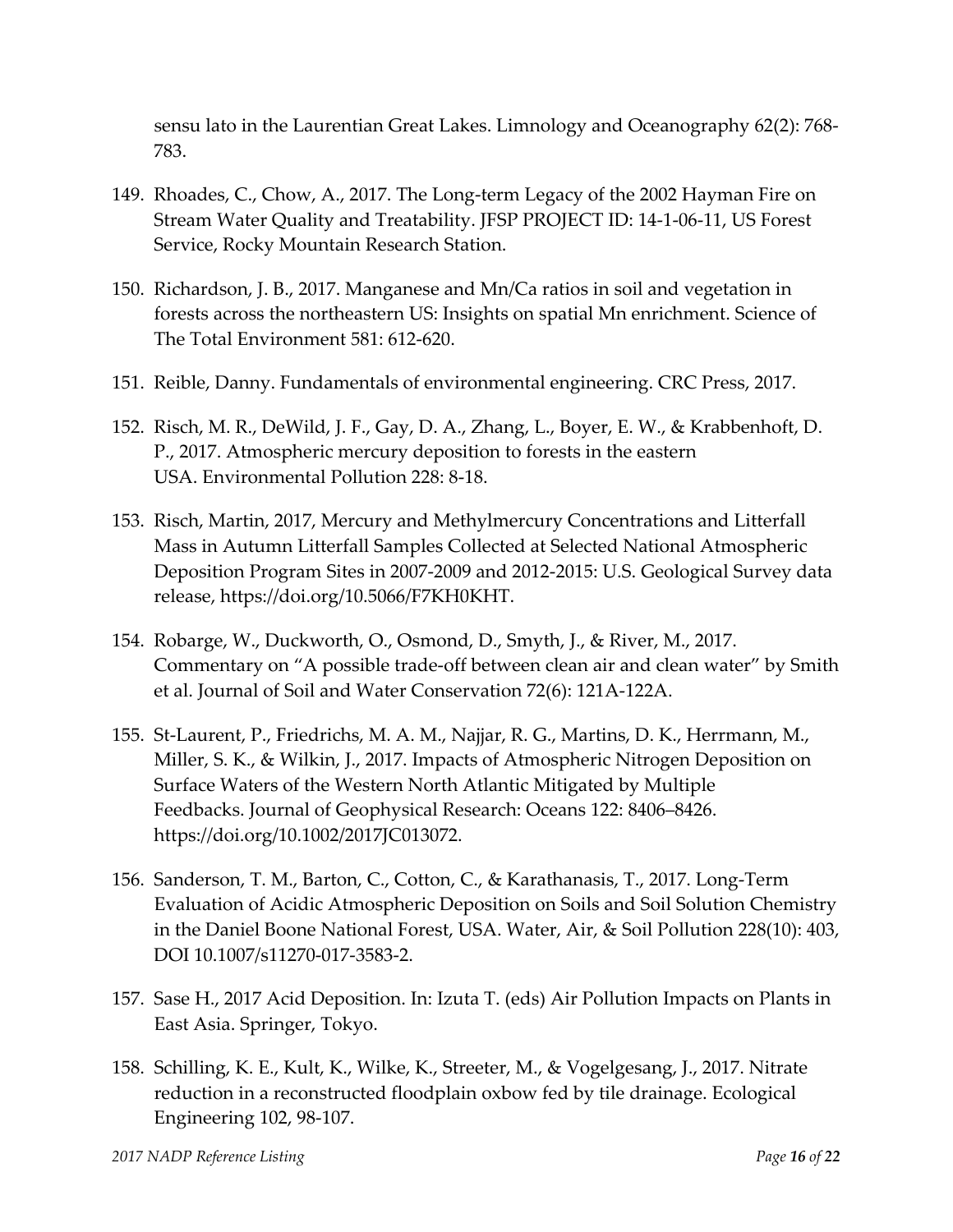sensu lato in the Laurentian Great Lakes. Limnology and Oceanography 62(2): 768‐ 783.

- 149. Rhoades, C., Chow, A., 2017. The Long‐term Legacy of the 2002 Hayman Fire on Stream Water Quality and Treatability. JFSP PROJECT ID: 14‐1‐06‐11, US Forest Service, Rocky Mountain Research Station.
- 150. Richardson, J. B., 2017. Manganese and Mn/Ca ratios in soil and vegetation in forests across the northeastern US: Insights on spatial Mn enrichment. Science of The Total Environment 581: 612‐620.
- 151. Reible, Danny. Fundamentals of environmental engineering. CRC Press, 2017.
- 152. Risch, M. R., DeWild, J. F., Gay, D. A., Zhang, L., Boyer, E. W., & Krabbenhoft, D. P., 2017. Atmospheric mercury deposition to forests in the eastern USA. Environmental Pollution 228: 8‐18.
- 153. Risch, Martin, 2017, Mercury and Methylmercury Concentrations and Litterfall Mass in Autumn Litterfall Samples Collected at Selected National Atmospheric Deposition Program Sites in 2007‐2009 and 2012‐2015: U.S. Geological Survey data release, https://doi.org/10.5066/F7KH0KHT.
- 154. Robarge, W., Duckworth, O., Osmond, D., Smyth, J., & River, M., 2017. Commentary on "A possible trade‐off between clean air and clean water" by Smith et al. Journal of Soil and Water Conservation 72(6): 121A‐122A.
- 155. St‐Laurent, P., Friedrichs, M. A. M., Najjar, R. G., Martins, D. K., Herrmann, M., Miller, S. K., & Wilkin, J., 2017. Impacts of Atmospheric Nitrogen Deposition on Surface Waters of the Western North Atlantic Mitigated by Multiple Feedbacks. Journal of Geophysical Research: Oceans 122: 8406–8426. https://doi.org/10.1002/2017JC013072.
- 156. Sanderson, T. M., Barton, C., Cotton, C., & Karathanasis, T., 2017. Long‐Term Evaluation of Acidic Atmospheric Deposition on Soils and Soil Solution Chemistry in the Daniel Boone National Forest, USA. Water, Air, & Soil Pollution 228(10): 403, DOI 10.1007/s11270‐017‐3583‐2.
- 157. Sase H., 2017 Acid Deposition. In: Izuta T. (eds) Air Pollution Impacts on Plants in East Asia. Springer, Tokyo.
- 158. Schilling, K. E., Kult, K., Wilke, K., Streeter, M., & Vogelgesang, J., 2017. Nitrate reduction in a reconstructed floodplain oxbow fed by tile drainage. Ecological Engineering 102, 98‐107.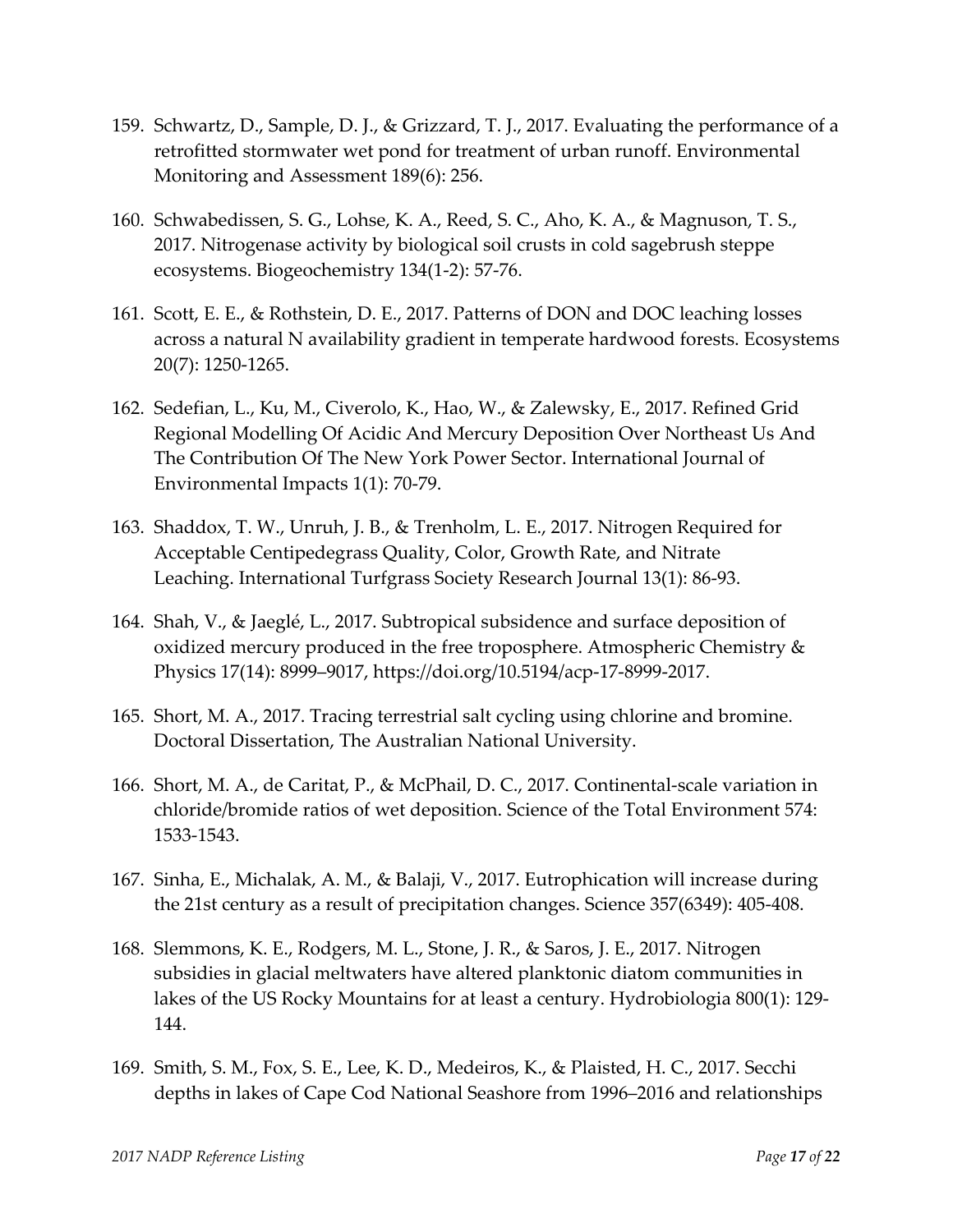- 159. Schwartz, D., Sample, D. J., & Grizzard, T. J., 2017. Evaluating the performance of a retrofitted stormwater wet pond for treatment of urban runoff. Environmental Monitoring and Assessment 189(6): 256.
- 160. Schwabedissen, S. G., Lohse, K. A., Reed, S. C., Aho, K. A., & Magnuson, T. S., 2017. Nitrogenase activity by biological soil crusts in cold sagebrush steppe ecosystems. Biogeochemistry 134(1‐2): 57‐76.
- 161. Scott, E. E., & Rothstein, D. E., 2017. Patterns of DON and DOC leaching losses across a natural N availability gradient in temperate hardwood forests. Ecosystems 20(7): 1250‐1265.
- 162. Sedefian, L., Ku, M., Civerolo, K., Hao, W., & Zalewsky, E., 2017. Refined Grid Regional Modelling Of Acidic And Mercury Deposition Over Northeast Us And The Contribution Of The New York Power Sector. International Journal of Environmental Impacts 1(1): 70‐79.
- 163. Shaddox, T. W., Unruh, J. B., & Trenholm, L. E., 2017. Nitrogen Required for Acceptable Centipedegrass Quality, Color, Growth Rate, and Nitrate Leaching. International Turfgrass Society Research Journal 13(1): 86‐93.
- 164. Shah, V., & Jaeglé, L., 2017. Subtropical subsidence and surface deposition of oxidized mercury produced in the free troposphere. Atmospheric Chemistry & Physics 17(14): 8999–9017, https://doi.org/10.5194/acp‐17‐8999‐2017.
- 165. Short, M. A., 2017. Tracing terrestrial salt cycling using chlorine and bromine. Doctoral Dissertation, The Australian National University.
- 166. Short, M. A., de Caritat, P., & McPhail, D. C., 2017. Continental‐scale variation in chloride/bromide ratios of wet deposition. Science of the Total Environment 574: 1533‐1543.
- 167. Sinha, E., Michalak, A. M., & Balaji, V., 2017. Eutrophication will increase during the 21st century as a result of precipitation changes. Science 357(6349): 405‐408.
- 168. Slemmons, K. E., Rodgers, M. L., Stone, J. R., & Saros, J. E., 2017. Nitrogen subsidies in glacial meltwaters have altered planktonic diatom communities in lakes of the US Rocky Mountains for at least a century. Hydrobiologia 800(1): 129‐ 144.
- 169. Smith, S. M., Fox, S. E., Lee, K. D., Medeiros, K., & Plaisted, H. C., 2017. Secchi depths in lakes of Cape Cod National Seashore from 1996–2016 and relationships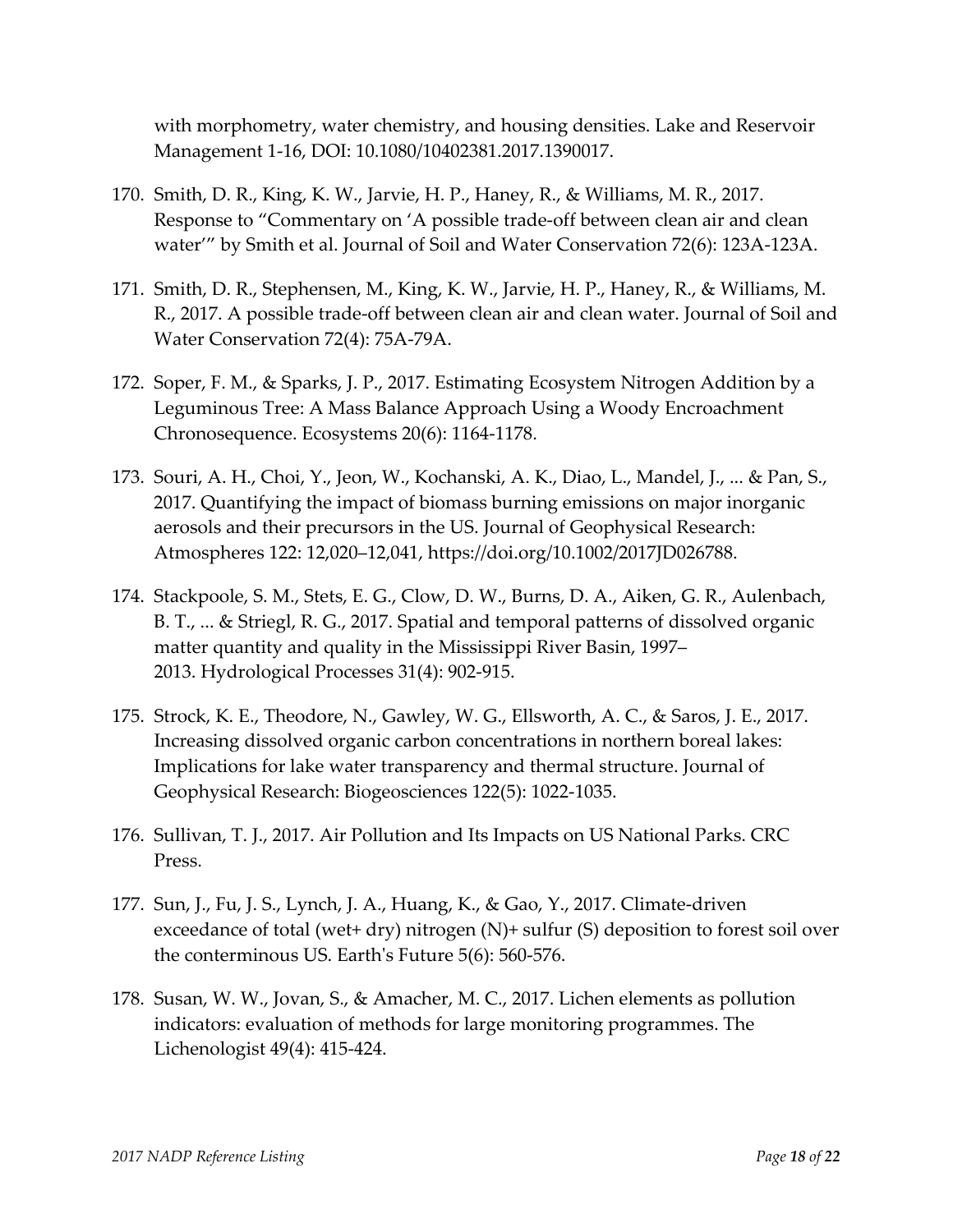with morphometry, water chemistry, and housing densities. Lake and Reservoir Management 1‐16, DOI: 10.1080/10402381.2017.1390017.

- 170. Smith, D. R., King, K. W., Jarvie, H. P., Haney, R., & Williams, M. R., 2017. Response to "Commentary on 'A possible trade‐off between clean air and clean water'" by Smith et al. Journal of Soil and Water Conservation 72(6): 123A‐123A.
- 171. Smith, D. R., Stephensen, M., King, K. W., Jarvie, H. P., Haney, R., & Williams, M. R., 2017. A possible trade‐off between clean air and clean water. Journal of Soil and Water Conservation 72(4): 75A‐79A.
- 172. Soper, F. M., & Sparks, J. P., 2017. Estimating Ecosystem Nitrogen Addition by a Leguminous Tree: A Mass Balance Approach Using a Woody Encroachment Chronosequence. Ecosystems 20(6): 1164‐1178.
- 173. Souri, A. H., Choi, Y., Jeon, W., Kochanski, A. K., Diao, L., Mandel, J., ... & Pan, S., 2017. Quantifying the impact of biomass burning emissions on major inorganic aerosols and their precursors in the US. Journal of Geophysical Research: Atmospheres 122: 12,020–12,041, https://doi.org/10.1002/2017JD026788.
- 174. Stackpoole, S. M., Stets, E. G., Clow, D. W., Burns, D. A., Aiken, G. R., Aulenbach, B. T., ... & Striegl, R. G., 2017. Spatial and temporal patterns of dissolved organic matter quantity and quality in the Mississippi River Basin, 1997– 2013. Hydrological Processes 31(4): 902‐915.
- 175. Strock, K. E., Theodore, N., Gawley, W. G., Ellsworth, A. C., & Saros, J. E., 2017. Increasing dissolved organic carbon concentrations in northern boreal lakes: Implications for lake water transparency and thermal structure. Journal of Geophysical Research: Biogeosciences 122(5): 1022‐1035.
- 176. Sullivan, T. J., 2017. Air Pollution and Its Impacts on US National Parks. CRC Press.
- 177. Sun, J., Fu, J. S., Lynch, J. A., Huang, K., & Gao, Y., 2017. Climate‐driven exceedance of total (wet+ dry) nitrogen (N)+ sulfur (S) deposition to forest soil over the conterminous US. Earthʹs Future 5(6): 560‐576.
- 178. Susan, W. W., Jovan, S., & Amacher, M. C., 2017. Lichen elements as pollution indicators: evaluation of methods for large monitoring programmes. The Lichenologist 49(4): 415‐424.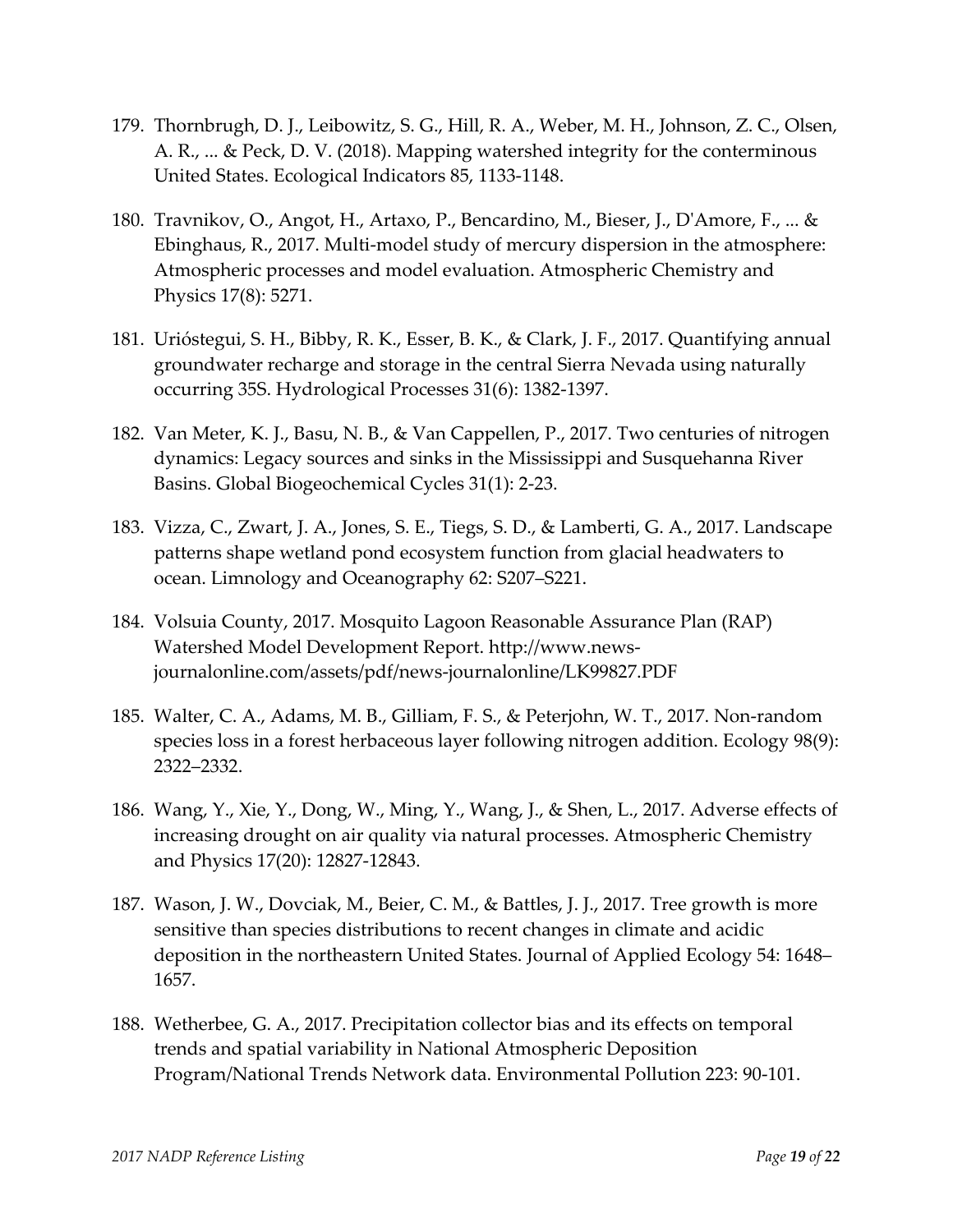- 179. Thornbrugh, D. J., Leibowitz, S. G., Hill, R. A., Weber, M. H., Johnson, Z. C., Olsen, A. R., ... & Peck, D. V. (2018). Mapping watershed integrity for the conterminous United States. Ecological Indicators 85, 1133‐1148.
- 180. Travnikov, O., Angot, H., Artaxo, P., Bencardino, M., Bieser, J., DʹAmore, F., ... & Ebinghaus, R., 2017. Multi‐model study of mercury dispersion in the atmosphere: Atmospheric processes and model evaluation. Atmospheric Chemistry and Physics 17(8): 5271.
- 181. Urióstegui, S. H., Bibby, R. K., Esser, B. K., & Clark, J. F., 2017. Quantifying annual groundwater recharge and storage in the central Sierra Nevada using naturally occurring 35S. Hydrological Processes 31(6): 1382‐1397.
- 182. Van Meter, K. J., Basu, N. B., & Van Cappellen, P., 2017. Two centuries of nitrogen dynamics: Legacy sources and sinks in the Mississippi and Susquehanna River Basins. Global Biogeochemical Cycles 31(1): 2‐23.
- 183. Vizza, C., Zwart, J. A., Jones, S. E., Tiegs, S. D., & Lamberti, G. A., 2017. Landscape patterns shape wetland pond ecosystem function from glacial headwaters to ocean. Limnology and Oceanography 62: S207–S221.
- 184. Volsuia County, 2017. Mosquito Lagoon Reasonable Assurance Plan (RAP) Watershed Model Development Report. http://www.news‐ journalonline.com/assets/pdf/news‐journalonline/LK99827.PDF
- 185. Walter, C. A., Adams, M. B., Gilliam, F. S., & Peterjohn, W. T., 2017. Non‐random species loss in a forest herbaceous layer following nitrogen addition. Ecology 98(9): 2322–2332.
- 186. Wang, Y., Xie, Y., Dong, W., Ming, Y., Wang, J., & Shen, L., 2017. Adverse effects of increasing drought on air quality via natural processes. Atmospheric Chemistry and Physics 17(20): 12827‐12843.
- 187. Wason, J. W., Dovciak, M., Beier, C. M., & Battles, J. J., 2017. Tree growth is more sensitive than species distributions to recent changes in climate and acidic deposition in the northeastern United States. Journal of Applied Ecology 54: 1648– 1657.
- 188. Wetherbee, G. A., 2017. Precipitation collector bias and its effects on temporal trends and spatial variability in National Atmospheric Deposition Program/National Trends Network data. Environmental Pollution 223: 90‐101.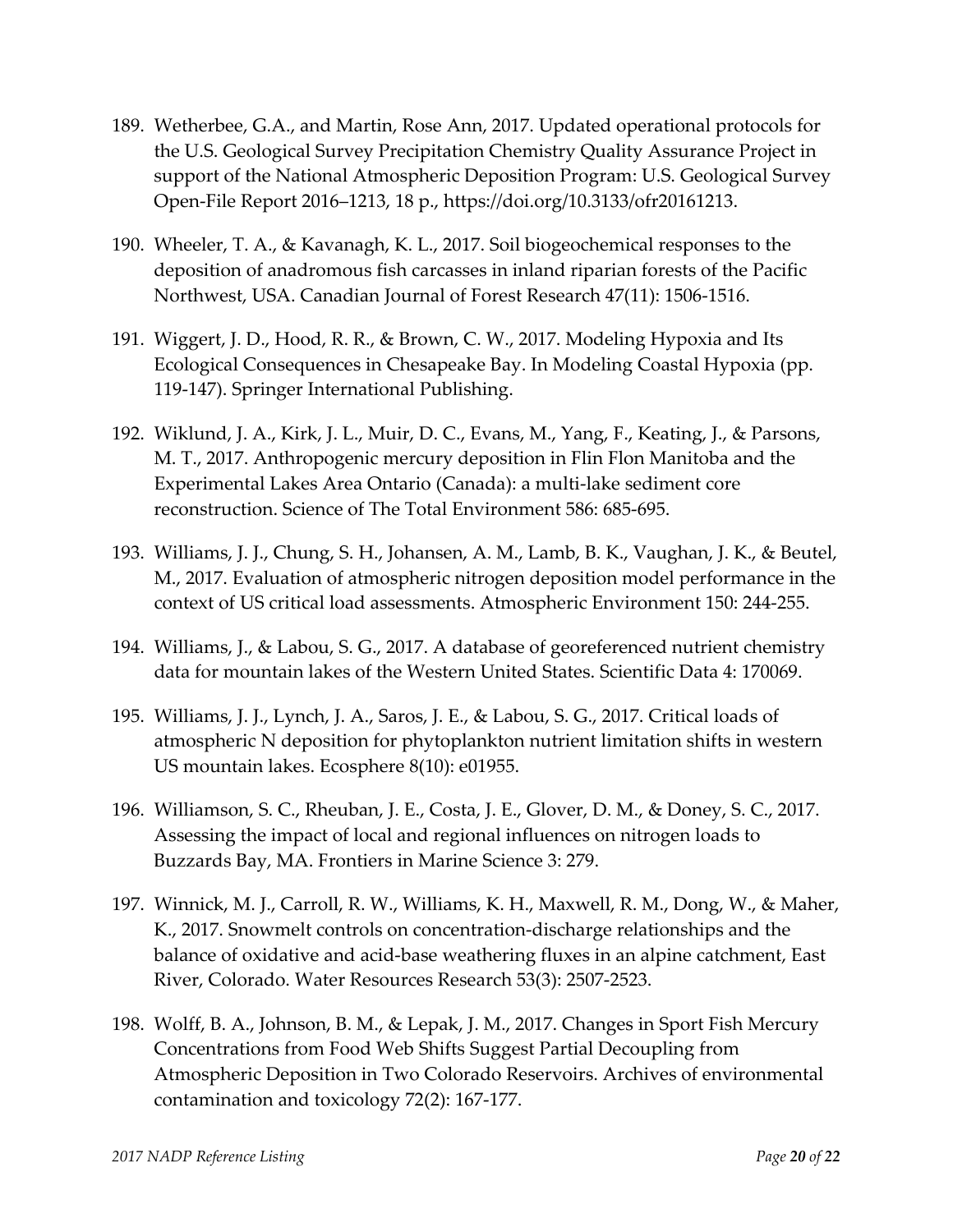- 189. Wetherbee, G.A., and Martin, Rose Ann, 2017. Updated operational protocols for the U.S. Geological Survey Precipitation Chemistry Quality Assurance Project in support of the National Atmospheric Deposition Program: U.S. Geological Survey Open‐File Report 2016–1213, 18 p., https://doi.org/10.3133/ofr20161213.
- 190. Wheeler, T. A., & Kavanagh, K. L., 2017. Soil biogeochemical responses to the deposition of anadromous fish carcasses in inland riparian forests of the Pacific Northwest, USA. Canadian Journal of Forest Research 47(11): 1506‐1516.
- 191. Wiggert, J. D., Hood, R. R., & Brown, C. W., 2017. Modeling Hypoxia and Its Ecological Consequences in Chesapeake Bay. In Modeling Coastal Hypoxia (pp. 119‐147). Springer International Publishing.
- 192. Wiklund, J. A., Kirk, J. L., Muir, D. C., Evans, M., Yang, F., Keating, J., & Parsons, M. T., 2017. Anthropogenic mercury deposition in Flin Flon Manitoba and the Experimental Lakes Area Ontario (Canada): a multi‐lake sediment core reconstruction. Science of The Total Environment 586: 685‐695.
- 193. Williams, J. J., Chung, S. H., Johansen, A. M., Lamb, B. K., Vaughan, J. K., & Beutel, M., 2017. Evaluation of atmospheric nitrogen deposition model performance in the context of US critical load assessments. Atmospheric Environment 150: 244‐255.
- 194. Williams, J., & Labou, S. G., 2017. A database of georeferenced nutrient chemistry data for mountain lakes of the Western United States. Scientific Data 4: 170069.
- 195. Williams, J. J., Lynch, J. A., Saros, J. E., & Labou, S. G., 2017. Critical loads of atmospheric N deposition for phytoplankton nutrient limitation shifts in western US mountain lakes. Ecosphere 8(10): e01955.
- 196. Williamson, S. C., Rheuban, J. E., Costa, J. E., Glover, D. M., & Doney, S. C., 2017. Assessing the impact of local and regional influences on nitrogen loads to Buzzards Bay, MA. Frontiers in Marine Science 3: 279.
- 197. Winnick, M. J., Carroll, R. W., Williams, K. H., Maxwell, R. M., Dong, W., & Maher, K., 2017. Snowmelt controls on concentration‐discharge relationships and the balance of oxidative and acid‐base weathering fluxes in an alpine catchment, East River, Colorado. Water Resources Research 53(3): 2507‐2523.
- 198. Wolff, B. A., Johnson, B. M., & Lepak, J. M., 2017. Changes in Sport Fish Mercury Concentrations from Food Web Shifts Suggest Partial Decoupling from Atmospheric Deposition in Two Colorado Reservoirs. Archives of environmental contamination and toxicology 72(2): 167‐177.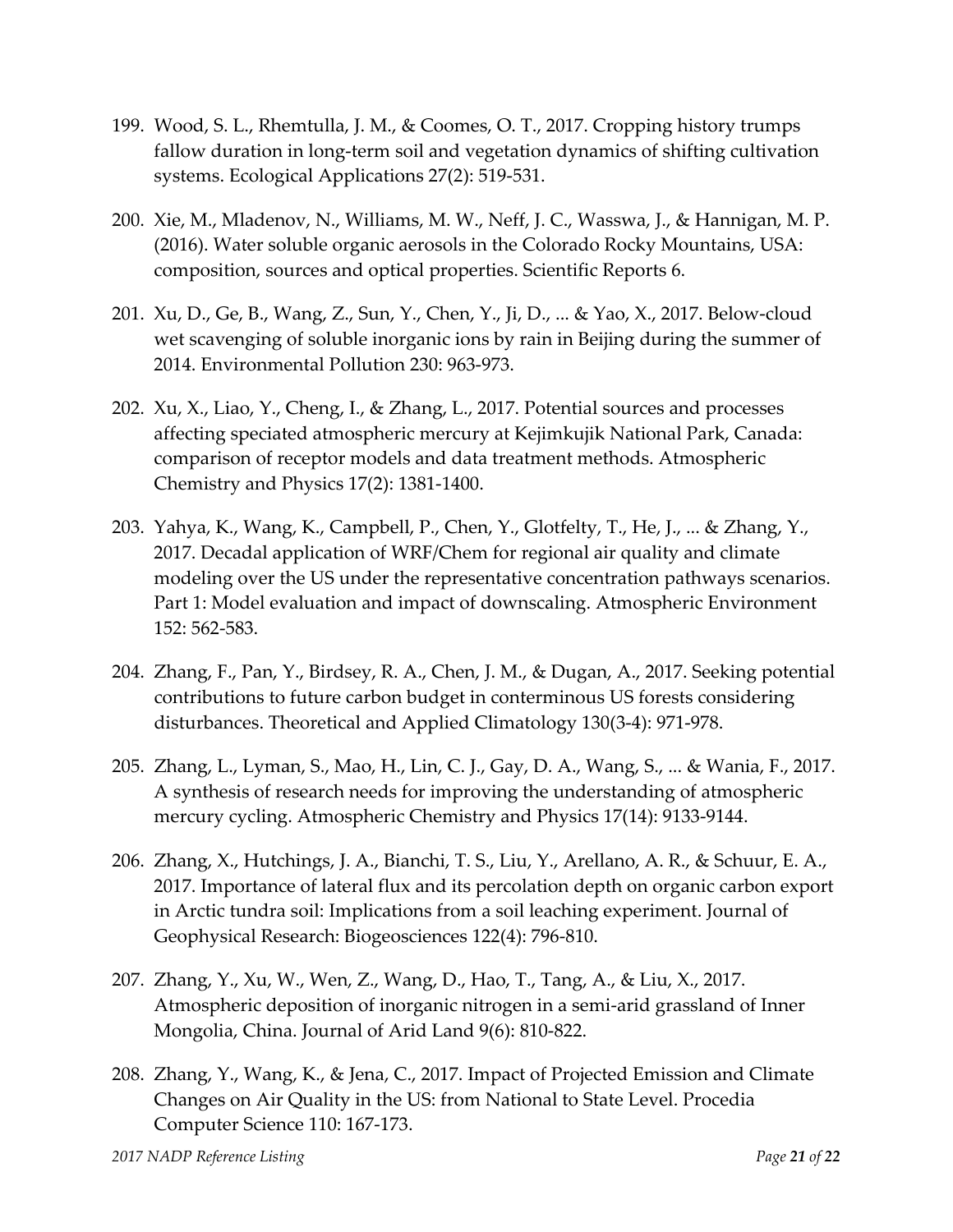- 199. Wood, S. L., Rhemtulla, J. M., & Coomes, O. T., 2017. Cropping history trumps fallow duration in long‐term soil and vegetation dynamics of shifting cultivation systems. Ecological Applications 27(2): 519‐531.
- 200. Xie, M., Mladenov, N., Williams, M. W., Neff, J. C., Wasswa, J., & Hannigan, M. P. (2016). Water soluble organic aerosols in the Colorado Rocky Mountains, USA: composition, sources and optical properties. Scientific Reports 6.
- 201. Xu, D., Ge, B., Wang, Z., Sun, Y., Chen, Y., Ji, D., ... & Yao, X., 2017. Below‐cloud wet scavenging of soluble inorganic ions by rain in Beijing during the summer of 2014. Environmental Pollution 230: 963‐973.
- 202. Xu, X., Liao, Y., Cheng, I., & Zhang, L., 2017. Potential sources and processes affecting speciated atmospheric mercury at Kejimkujik National Park, Canada: comparison of receptor models and data treatment methods. Atmospheric Chemistry and Physics 17(2): 1381‐1400.
- 203. Yahya, K., Wang, K., Campbell, P., Chen, Y., Glotfelty, T., He, J., ... & Zhang, Y., 2017. Decadal application of WRF/Chem for regional air quality and climate modeling over the US under the representative concentration pathways scenarios. Part 1: Model evaluation and impact of downscaling. Atmospheric Environment 152: 562‐583.
- 204. Zhang, F., Pan, Y., Birdsey, R. A., Chen, J. M., & Dugan, A., 2017. Seeking potential contributions to future carbon budget in conterminous US forests considering disturbances. Theoretical and Applied Climatology 130(3‐4): 971‐978.
- 205. Zhang, L., Lyman, S., Mao, H., Lin, C. J., Gay, D. A., Wang, S., ... & Wania, F., 2017. A synthesis of research needs for improving the understanding of atmospheric mercury cycling. Atmospheric Chemistry and Physics 17(14): 9133‐9144.
- 206. Zhang, X., Hutchings, J. A., Bianchi, T. S., Liu, Y., Arellano, A. R., & Schuur, E. A., 2017. Importance of lateral flux and its percolation depth on organic carbon export in Arctic tundra soil: Implications from a soil leaching experiment. Journal of Geophysical Research: Biogeosciences 122(4): 796‐810.
- 207. Zhang, Y., Xu, W., Wen, Z., Wang, D., Hao, T., Tang, A., & Liu, X., 2017. Atmospheric deposition of inorganic nitrogen in a semi‐arid grassland of Inner Mongolia, China. Journal of Arid Land 9(6): 810‐822.
- 208. Zhang, Y., Wang, K., & Jena, C., 2017. Impact of Projected Emission and Climate Changes on Air Quality in the US: from National to State Level. Procedia Computer Science 110: 167‐173.